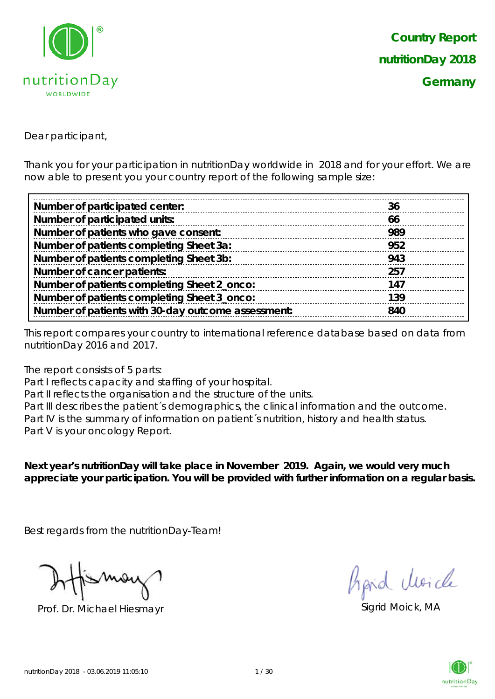

Dear participant,

Thank you for your participation in nutritionDay worldwide in 2018 and for your effort. We are now able to present you your country report of the following sample size:

| Number of participated center:                     | 36  |
|----------------------------------------------------|-----|
| Number of participated units:                      | 66  |
| Number of patients who gave consent:               | 989 |
| Number of patients completing Sheet 3a:            | 952 |
| Number of patients completing Sheet 3b:            | 943 |
| Number of cancer patients:                         | 257 |
| Number of patients completing Sheet 2_onco:        | 147 |
| Number of patients completing Sheet 3_onco:        | 139 |
| Number of patients with 30-day outcome assessment: | 840 |
|                                                    |     |

This report compares your country to international reference database based on data from nutritionDay 2016 and 2017.

The report consists of 5 parts:

Part I reflects capacity and staffing of your hospital.

Part II reflects the organisation and the structure of the units.

Part III describes the patient's demographics, the clinical information and the outcome. Part IV is the summary of information on patient's nutrition, history and health status. Part V is your oncology Report.

**Next year's nutritionDay will take place in November 2019. Again, we would very much appreciate your participation. You will be provided with further information on a regular basis.**

Best regards from the nutritionDay-Team!

Prof. Dr. Michael Hiesmayr Sigrid Moick, MA

fraid Moich

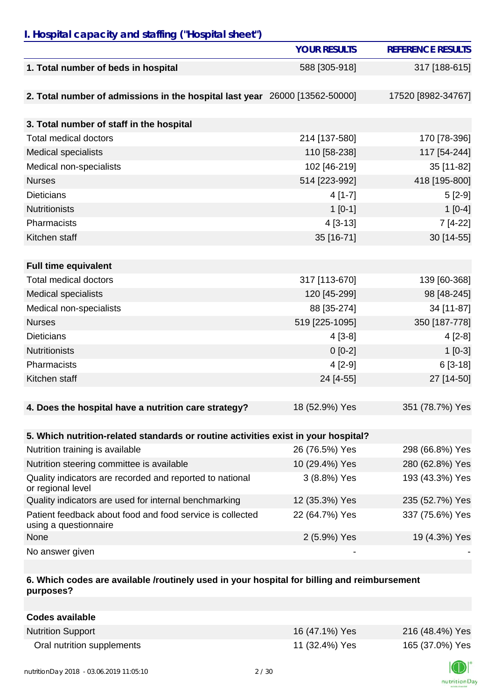### *I. Hospital capacity and staffing ("Hospital sheet")*

|                                                                                    | <b>YOUR RESULTS</b> | <b>REFERENCE RESULTS</b> |
|------------------------------------------------------------------------------------|---------------------|--------------------------|
| 1. Total number of beds in hospital                                                | 588 [305-918]       | 317 [188-615]            |
|                                                                                    |                     |                          |
| 2. Total number of admissions in the hospital last year 26000 [13562-50000]        |                     | 17520 [8982-34767]       |
|                                                                                    |                     |                          |
| 3. Total number of staff in the hospital                                           |                     |                          |
| <b>Total medical doctors</b>                                                       | 214 [137-580]       | 170 [78-396]             |
| Medical specialists                                                                | 110 [58-238]        | 117 [54-244]             |
| Medical non-specialists                                                            | 102 [46-219]        | 35 [11-82]               |
| <b>Nurses</b>                                                                      | 514 [223-992]       | 418 [195-800]            |
| <b>Dieticians</b>                                                                  | $4[1-7]$            | $5[2-9]$                 |
| <b>Nutritionists</b>                                                               | $1[0-1]$            | $1[0-4]$                 |
| Pharmacists                                                                        | 4 [3-13]            | 7 [4-22]                 |
| Kitchen staff                                                                      | 35 [16-71]          | 30 [14-55]               |
|                                                                                    |                     |                          |
| <b>Full time equivalent</b>                                                        |                     |                          |
| <b>Total medical doctors</b>                                                       | 317 [113-670]       | 139 [60-368]             |
| <b>Medical specialists</b>                                                         | 120 [45-299]        | 98 [48-245]              |
| Medical non-specialists                                                            | 88 [35-274]         | 34 [11-87]               |
| <b>Nurses</b>                                                                      | 519 [225-1095]      | 350 [187-778]            |
| <b>Dieticians</b>                                                                  | $4[3-8]$            | $4[2-8]$                 |
| <b>Nutritionists</b>                                                               | $0[0-2]$            | $1[0-3]$                 |
| Pharmacists                                                                        | $4[2-9]$            | $6[3-18]$                |
| Kitchen staff                                                                      | 24 [4-55]           | 27 [14-50]               |
|                                                                                    |                     |                          |
| 4. Does the hospital have a nutrition care strategy?                               | 18 (52.9%) Yes      | 351 (78.7%) Yes          |
|                                                                                    |                     |                          |
| 5. Which nutrition-related standards or routine activities exist in your hospital? |                     |                          |
| Nutrition training is available                                                    | 26 (76.5%) Yes      | 298 (66.8%) Yes          |
| Nutrition steering committee is available                                          | 10 (29.4%) Yes      | 280 (62.8%) Yes          |
| Quality indicators are recorded and reported to national<br>or regional level      | 3 (8.8%) Yes        | 193 (43.3%) Yes          |
| Quality indicators are used for internal benchmarking                              | 12 (35.3%) Yes      | 235 (52.7%) Yes          |
| Patient feedback about food and food service is collected<br>using a questionnaire | 22 (64.7%) Yes      | 337 (75.6%) Yes          |
| None                                                                               | 2 (5.9%) Yes        | 19 (4.3%) Yes            |
| No answer given                                                                    |                     |                          |

### **6. Which codes are available /routinely used in your hospital for billing and reimbursement purposes?**

| <b>Codes available</b>     |                |                 |
|----------------------------|----------------|-----------------|
| <b>Nutrition Support</b>   | 16 (47.1%) Yes | 216 (48.4%) Yes |
| Oral nutrition supplements | 11 (32.4%) Yes | 165 (37.0%) Yes |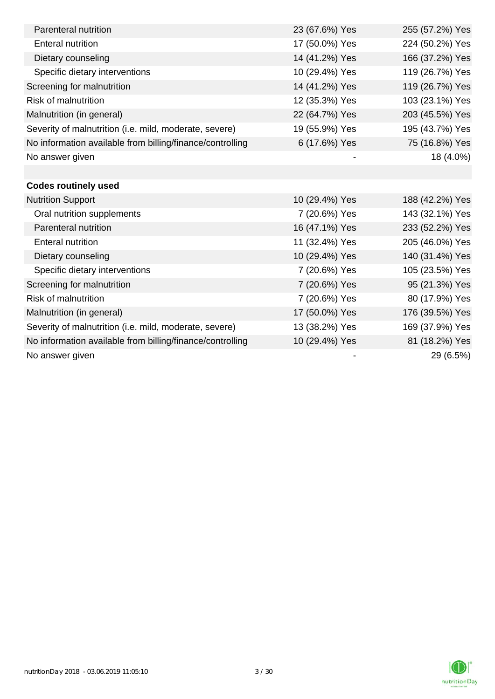| Parenteral nutrition                                      | 23 (67.6%) Yes | 255 (57.2%) Yes |
|-----------------------------------------------------------|----------------|-----------------|
| <b>Enteral nutrition</b>                                  | 17 (50.0%) Yes | 224 (50.2%) Yes |
| Dietary counseling                                        | 14 (41.2%) Yes | 166 (37.2%) Yes |
| Specific dietary interventions                            | 10 (29.4%) Yes | 119 (26.7%) Yes |
| Screening for malnutrition                                | 14 (41.2%) Yes | 119 (26.7%) Yes |
| <b>Risk of malnutrition</b>                               | 12 (35.3%) Yes | 103 (23.1%) Yes |
| Malnutrition (in general)                                 | 22 (64.7%) Yes | 203 (45.5%) Yes |
| Severity of malnutrition (i.e. mild, moderate, severe)    | 19 (55.9%) Yes | 195 (43.7%) Yes |
| No information available from billing/finance/controlling | 6 (17.6%) Yes  | 75 (16.8%) Yes  |
| No answer given                                           |                | 18 (4.0%)       |
|                                                           |                |                 |
| <b>Codes routinely used</b>                               |                |                 |
| <b>Nutrition Support</b>                                  | 10 (29.4%) Yes | 188 (42.2%) Yes |
| Oral nutrition supplements                                | 7 (20.6%) Yes  | 143 (32.1%) Yes |
| Parenteral nutrition                                      | 16 (47.1%) Yes | 233 (52.2%) Yes |
| <b>Enteral nutrition</b>                                  | 11 (32.4%) Yes | 205 (46.0%) Yes |
| Dietary counseling                                        | 10 (29.4%) Yes | 140 (31.4%) Yes |
| Specific dietary interventions                            | 7 (20.6%) Yes  | 105 (23.5%) Yes |
| Screening for malnutrition                                | 7 (20.6%) Yes  | 95 (21.3%) Yes  |
| <b>Risk of malnutrition</b>                               | 7 (20.6%) Yes  | 80 (17.9%) Yes  |
| Malnutrition (in general)                                 | 17 (50.0%) Yes | 176 (39.5%) Yes |
| Severity of malnutrition (i.e. mild, moderate, severe)    | 13 (38.2%) Yes | 169 (37.9%) Yes |
| No information available from billing/finance/controlling | 10 (29.4%) Yes | 81 (18.2%) Yes  |
| No answer given                                           |                | 29 (6.5%)       |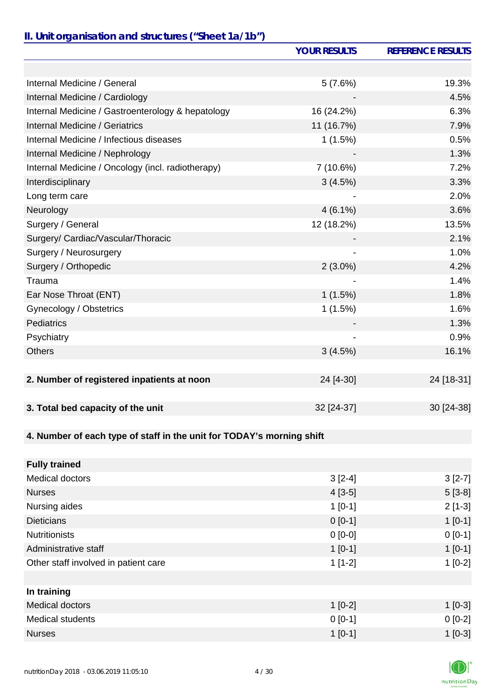# *II. Unit organisation and structures ("Sheet 1a/1b")*

|                                                                       | <b>YOUR RESULTS</b> | <b>REFERENCE RESULTS</b> |
|-----------------------------------------------------------------------|---------------------|--------------------------|
|                                                                       |                     |                          |
| Internal Medicine / General                                           | 5(7.6%)             | 19.3%                    |
| Internal Medicine / Cardiology                                        |                     | 4.5%                     |
| Internal Medicine / Gastroenterology & hepatology                     | 16 (24.2%)          | 6.3%                     |
| Internal Medicine / Geriatrics                                        | 11 (16.7%)          | 7.9%                     |
| Internal Medicine / Infectious diseases                               | 1(1.5%)             | 0.5%                     |
| Internal Medicine / Nephrology                                        |                     | 1.3%                     |
| Internal Medicine / Oncology (incl. radiotherapy)                     | 7 (10.6%)           | 7.2%                     |
| Interdisciplinary                                                     | 3(4.5%)             | 3.3%                     |
| Long term care                                                        |                     | 2.0%                     |
| Neurology                                                             | $4(6.1\%)$          | 3.6%                     |
| Surgery / General                                                     | 12 (18.2%)          | 13.5%                    |
| Surgery/ Cardiac/Vascular/Thoracic                                    |                     | 2.1%                     |
| Surgery / Neurosurgery                                                |                     | 1.0%                     |
| Surgery / Orthopedic                                                  | $2(3.0\%)$          | 4.2%                     |
| Trauma                                                                |                     | 1.4%                     |
| Ear Nose Throat (ENT)                                                 | 1(1.5%)             | 1.8%                     |
| Gynecology / Obstetrics                                               | 1(1.5%)             | 1.6%                     |
| Pediatrics                                                            |                     | 1.3%                     |
| Psychiatry                                                            |                     | 0.9%                     |
| <b>Others</b>                                                         | 3(4.5%)             | 16.1%                    |
|                                                                       |                     |                          |
| 2. Number of registered inpatients at noon                            | 24 [4-30]           | 24 [18-31]               |
|                                                                       |                     |                          |
| 3. Total bed capacity of the unit                                     | 32 [24-37]          | 30 [24-38]               |
|                                                                       |                     |                          |
| 4. Number of each type of staff in the unit for TODAY's morning shift |                     |                          |
|                                                                       |                     |                          |
| <b>Fully trained</b>                                                  |                     |                          |
| <b>Medical doctors</b>                                                | $3[2-4]$            | $3[2-7]$                 |
| <b>Nurses</b>                                                         | $4[3-5]$            | $5[3-8]$                 |
| Nursing aides                                                         | $1[0-1]$            | $2[1-3]$                 |
| <b>Dieticians</b>                                                     | $0 [0-1]$           | $1[0-1]$                 |
| <b>Nutritionists</b>                                                  | $0[0-0]$            | $0 [0-1]$                |
| Administrative staff                                                  | $1[0-1]$            | $1[0-1]$                 |
| Other staff involved in patient care                                  | $1[1-2]$            | $1[0-2]$                 |
|                                                                       |                     |                          |
| In training                                                           |                     |                          |
| <b>Medical doctors</b>                                                | $1[0-2]$            | $1$ [0-3]                |
| <b>Medical students</b>                                               | $0[0-1]$            | $0[0-2]$                 |
| <b>Nurses</b>                                                         | $1[0-1]$            | $1[0-3]$                 |

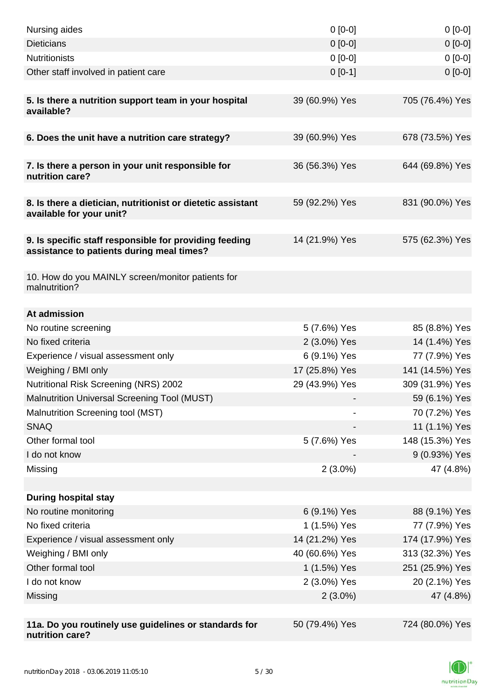| Nursing aides                                                                                       | $0 [0-0]$      | $0[0-0]$        |
|-----------------------------------------------------------------------------------------------------|----------------|-----------------|
| <b>Dieticians</b>                                                                                   | $0 [0-0]$      | $0[0-0]$        |
| <b>Nutritionists</b>                                                                                | $0 [0-0]$      | $0[0-0]$        |
| Other staff involved in patient care                                                                | $0[0-1]$       | $0[0-0]$        |
|                                                                                                     |                |                 |
| 5. Is there a nutrition support team in your hospital<br>available?                                 | 39 (60.9%) Yes | 705 (76.4%) Yes |
| 6. Does the unit have a nutrition care strategy?                                                    | 39 (60.9%) Yes | 678 (73.5%) Yes |
|                                                                                                     |                |                 |
| 7. Is there a person in your unit responsible for<br>nutrition care?                                | 36 (56.3%) Yes | 644 (69.8%) Yes |
| 8. Is there a dietician, nutritionist or dietetic assistant<br>available for your unit?             | 59 (92.2%) Yes | 831 (90.0%) Yes |
| 9. Is specific staff responsible for providing feeding<br>assistance to patients during meal times? | 14 (21.9%) Yes | 575 (62.3%) Yes |
| 10. How do you MAINLY screen/monitor patients for<br>malnutrition?                                  |                |                 |
| At admission                                                                                        |                |                 |
| No routine screening                                                                                | 5 (7.6%) Yes   | 85 (8.8%) Yes   |
| No fixed criteria                                                                                   | 2 (3.0%) Yes   | 14 (1.4%) Yes   |
| Experience / visual assessment only                                                                 | 6 (9.1%) Yes   | 77 (7.9%) Yes   |
| Weighing / BMI only                                                                                 | 17 (25.8%) Yes | 141 (14.5%) Yes |
| Nutritional Risk Screening (NRS) 2002                                                               | 29 (43.9%) Yes | 309 (31.9%) Yes |
| Malnutrition Universal Screening Tool (MUST)                                                        |                | 59 (6.1%) Yes   |
| Malnutrition Screening tool (MST)                                                                   |                | 70 (7.2%) Yes   |
| <b>SNAQ</b>                                                                                         |                | 11 (1.1%) Yes   |
| Other formal tool                                                                                   | 5 (7.6%) Yes   | 148 (15.3%) Yes |
| I do not know                                                                                       |                | 9 (0.93%) Yes   |
| Missing                                                                                             | $2(3.0\%)$     | 47 (4.8%)       |
|                                                                                                     |                |                 |
| <b>During hospital stay</b>                                                                         |                |                 |
| No routine monitoring                                                                               | 6 (9.1%) Yes   | 88 (9.1%) Yes   |
| No fixed criteria                                                                                   | 1 (1.5%) Yes   | 77 (7.9%) Yes   |
| Experience / visual assessment only                                                                 | 14 (21.2%) Yes | 174 (17.9%) Yes |
| Weighing / BMI only                                                                                 | 40 (60.6%) Yes | 313 (32.3%) Yes |
| Other formal tool                                                                                   | 1 (1.5%) Yes   | 251 (25.9%) Yes |
| I do not know                                                                                       | 2 (3.0%) Yes   | 20 (2.1%) Yes   |
| Missing                                                                                             | $2(3.0\%)$     | 47 (4.8%)       |
|                                                                                                     |                |                 |
| 11a. Do you routinely use guidelines or standards for<br>nutrition care?                            | 50 (79.4%) Yes | 724 (80.0%) Yes |

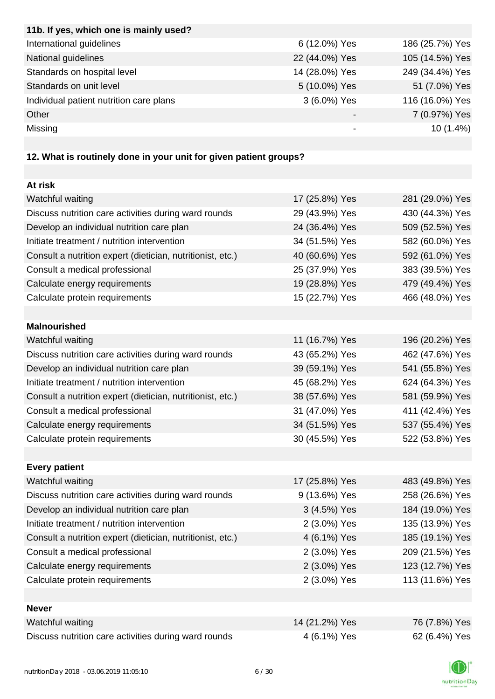| 11b. If yes, which one is mainly used?  |                |                 |
|-----------------------------------------|----------------|-----------------|
| International guidelines                | 6 (12.0%) Yes  | 186 (25.7%) Yes |
| National guidelines                     | 22 (44.0%) Yes | 105 (14.5%) Yes |
| Standards on hospital level             | 14 (28.0%) Yes | 249 (34.4%) Yes |
| Standards on unit level                 | 5 (10.0%) Yes  | 51 (7.0%) Yes   |
| Individual patient nutrition care plans | 3 (6.0%) Yes   | 116 (16.0%) Yes |
| Other                                   |                | 7 (0.97%) Yes   |
| Missing                                 | -              | $10(1.4\%)$     |

# **12. What is routinely done in your unit for given patient groups?**

| At risk                                                    |                |                 |
|------------------------------------------------------------|----------------|-----------------|
| Watchful waiting                                           | 17 (25.8%) Yes | 281 (29.0%) Yes |
| Discuss nutrition care activities during ward rounds       | 29 (43.9%) Yes | 430 (44.3%) Yes |
| Develop an individual nutrition care plan                  | 24 (36.4%) Yes | 509 (52.5%) Yes |
| Initiate treatment / nutrition intervention                | 34 (51.5%) Yes | 582 (60.0%) Yes |
| Consult a nutrition expert (dietician, nutritionist, etc.) | 40 (60.6%) Yes | 592 (61.0%) Yes |
| Consult a medical professional                             | 25 (37.9%) Yes | 383 (39.5%) Yes |
| Calculate energy requirements                              | 19 (28.8%) Yes | 479 (49.4%) Yes |
| Calculate protein requirements                             | 15 (22.7%) Yes | 466 (48.0%) Yes |
|                                                            |                |                 |
| <b>Malnourished</b>                                        |                |                 |
| Watchful waiting                                           | 11 (16.7%) Yes | 196 (20.2%) Yes |
| Discuss nutrition care activities during ward rounds       | 43 (65.2%) Yes | 462 (47.6%) Yes |
| Develop an individual nutrition care plan                  | 39 (59.1%) Yes | 541 (55.8%) Yes |
| Initiate treatment / nutrition intervention                | 45 (68.2%) Yes | 624 (64.3%) Yes |
| Consult a nutrition expert (dietician, nutritionist, etc.) | 38 (57.6%) Yes | 581 (59.9%) Yes |
| Consult a medical professional                             | 31 (47.0%) Yes | 411 (42.4%) Yes |
| Calculate energy requirements                              | 34 (51.5%) Yes | 537 (55.4%) Yes |
| Calculate protein requirements                             | 30 (45.5%) Yes | 522 (53.8%) Yes |
|                                                            |                |                 |
| <b>Every patient</b>                                       |                |                 |
| Watchful waiting                                           | 17 (25.8%) Yes | 483 (49.8%) Yes |
| Discuss nutrition care activities during ward rounds       | 9 (13.6%) Yes  | 258 (26.6%) Yes |
| Develop an individual nutrition care plan                  | 3 (4.5%) Yes   | 184 (19.0%) Yes |
| Initiate treatment / nutrition intervention                | 2 (3.0%) Yes   | 135 (13.9%) Yes |
| Consult a nutrition expert (dietician, nutritionist, etc.) | 4 (6.1%) Yes   | 185 (19.1%) Yes |
| Consult a medical professional                             | 2 (3.0%) Yes   | 209 (21.5%) Yes |
| Calculate energy requirements                              | 2 (3.0%) Yes   | 123 (12.7%) Yes |
| Calculate protein requirements                             | 2 (3.0%) Yes   | 113 (11.6%) Yes |
|                                                            |                |                 |
| <b>Never</b>                                               |                |                 |
| Watchful waiting                                           | 14 (21.2%) Yes | 76 (7.8%) Yes   |
| Discuss nutrition care activities during ward rounds       | 4 (6.1%) Yes   | 62 (6.4%) Yes   |

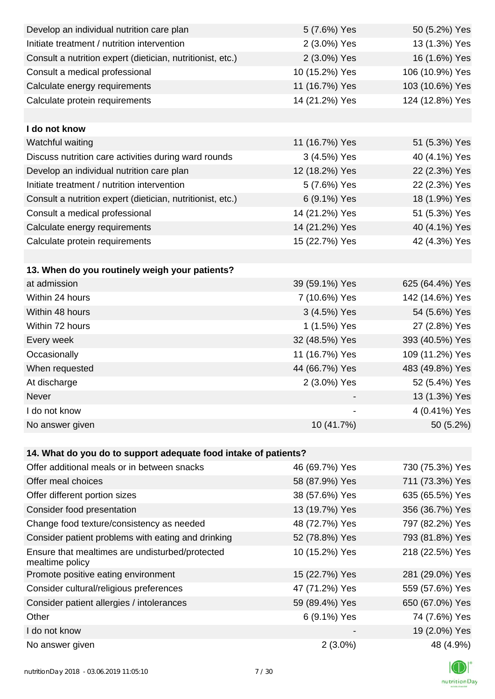| Develop an individual nutrition care plan                          | 5 (7.6%) Yes   | 50 (5.2%) Yes   |
|--------------------------------------------------------------------|----------------|-----------------|
| Initiate treatment / nutrition intervention                        | 2 (3.0%) Yes   | 13 (1.3%) Yes   |
| Consult a nutrition expert (dietician, nutritionist, etc.)         | 2 (3.0%) Yes   | 16 (1.6%) Yes   |
| Consult a medical professional                                     | 10 (15.2%) Yes | 106 (10.9%) Yes |
| Calculate energy requirements                                      | 11 (16.7%) Yes | 103 (10.6%) Yes |
| Calculate protein requirements                                     | 14 (21.2%) Yes | 124 (12.8%) Yes |
|                                                                    |                |                 |
| I do not know                                                      |                |                 |
| Watchful waiting                                                   | 11 (16.7%) Yes | 51 (5.3%) Yes   |
| Discuss nutrition care activities during ward rounds               | 3 (4.5%) Yes   | 40 (4.1%) Yes   |
| Develop an individual nutrition care plan                          | 12 (18.2%) Yes | 22 (2.3%) Yes   |
| Initiate treatment / nutrition intervention                        | 5 (7.6%) Yes   | 22 (2.3%) Yes   |
| Consult a nutrition expert (dietician, nutritionist, etc.)         | 6 (9.1%) Yes   | 18 (1.9%) Yes   |
| Consult a medical professional                                     | 14 (21.2%) Yes | 51 (5.3%) Yes   |
| Calculate energy requirements                                      | 14 (21.2%) Yes | 40 (4.1%) Yes   |
| Calculate protein requirements                                     | 15 (22.7%) Yes | 42 (4.3%) Yes   |
|                                                                    |                |                 |
| 13. When do you routinely weigh your patients?                     |                |                 |
| at admission                                                       | 39 (59.1%) Yes | 625 (64.4%) Yes |
| Within 24 hours                                                    | 7 (10.6%) Yes  | 142 (14.6%) Yes |
| Within 48 hours                                                    | 3 (4.5%) Yes   | 54 (5.6%) Yes   |
| Within 72 hours                                                    | 1 (1.5%) Yes   | 27 (2.8%) Yes   |
| Every week                                                         | 32 (48.5%) Yes | 393 (40.5%) Yes |
| Occasionally                                                       | 11 (16.7%) Yes | 109 (11.2%) Yes |
| When requested                                                     | 44 (66.7%) Yes | 483 (49.8%) Yes |
| At discharge                                                       | 2 (3.0%) Yes   | 52 (5.4%) Yes   |
| Never                                                              |                | 13 (1.3%) Yes   |
| I do not know                                                      |                | 4 (0.41%) Yes   |
| No answer given                                                    | 10 (41.7%)     | 50 (5.2%)       |
|                                                                    |                |                 |
| 14. What do you do to support adequate food intake of patients?    |                |                 |
| Offer additional meals or in between snacks                        | 46 (69.7%) Yes | 730 (75.3%) Yes |
| Offer meal choices                                                 | 58 (87.9%) Yes | 711 (73.3%) Yes |
| Offer different portion sizes                                      | 38 (57.6%) Yes | 635 (65.5%) Yes |
| Consider food presentation                                         | 13 (19.7%) Yes | 356 (36.7%) Yes |
| Change food texture/consistency as needed                          | 48 (72.7%) Yes | 797 (82.2%) Yes |
| Consider patient problems with eating and drinking                 | 52 (78.8%) Yes | 793 (81.8%) Yes |
| Ensure that mealtimes are undisturbed/protected<br>mealtime policy | 10 (15.2%) Yes | 218 (22.5%) Yes |
| Promote positive eating environment                                | 15 (22.7%) Yes | 281 (29.0%) Yes |
| Consider cultural/religious preferences                            | 47 (71.2%) Yes | 559 (57.6%) Yes |
| Consider patient allergies / intolerances                          | 59 (89.4%) Yes | 650 (67.0%) Yes |
| Other                                                              | 6 (9.1%) Yes   | 74 (7.6%) Yes   |
| I do not know                                                      |                | 19 (2.0%) Yes   |
| No answer given                                                    | $2(3.0\%)$     | 48 (4.9%)       |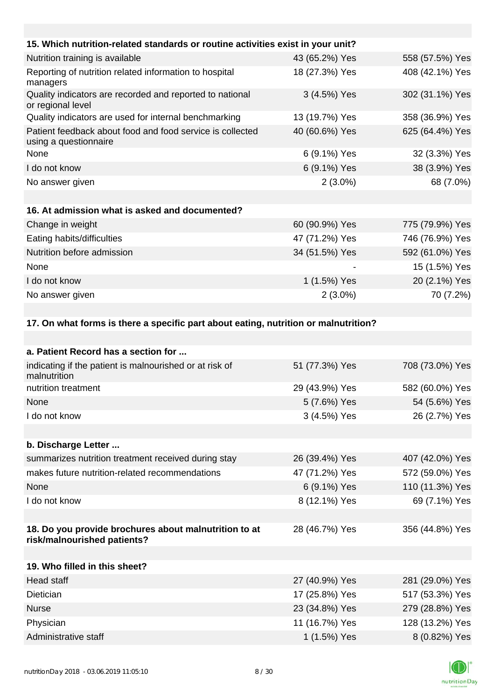| 15. Which nutrition-related standards or routine activities exist in your unit?     |                |                 |
|-------------------------------------------------------------------------------------|----------------|-----------------|
| Nutrition training is available                                                     | 43 (65.2%) Yes | 558 (57.5%) Yes |
| Reporting of nutrition related information to hospital<br>managers                  | 18 (27.3%) Yes | 408 (42.1%) Yes |
| Quality indicators are recorded and reported to national<br>or regional level       | 3 (4.5%) Yes   | 302 (31.1%) Yes |
| Quality indicators are used for internal benchmarking                               | 13 (19.7%) Yes | 358 (36.9%) Yes |
| Patient feedback about food and food service is collected<br>using a questionnaire  | 40 (60.6%) Yes | 625 (64.4%) Yes |
| None                                                                                | 6 (9.1%) Yes   | 32 (3.3%) Yes   |
| I do not know                                                                       | 6 (9.1%) Yes   | 38 (3.9%) Yes   |
| No answer given                                                                     | $2(3.0\%)$     | 68 (7.0%)       |
|                                                                                     |                |                 |
| 16. At admission what is asked and documented?                                      |                |                 |
| Change in weight                                                                    | 60 (90.9%) Yes | 775 (79.9%) Yes |
| Eating habits/difficulties                                                          | 47 (71.2%) Yes | 746 (76.9%) Yes |
| Nutrition before admission                                                          | 34 (51.5%) Yes | 592 (61.0%) Yes |
| None                                                                                |                | 15 (1.5%) Yes   |
| I do not know                                                                       | 1 (1.5%) Yes   | 20 (2.1%) Yes   |
| No answer given                                                                     | $2(3.0\%)$     | 70 (7.2%)       |
|                                                                                     |                |                 |
| 17. On what forms is there a specific part about eating, nutrition or malnutrition? |                |                 |
|                                                                                     |                |                 |

| a. Patient Record has a section for                                                  |                |                 |
|--------------------------------------------------------------------------------------|----------------|-----------------|
| indicating if the patient is malnourished or at risk of<br>malnutrition              | 51 (77.3%) Yes | 708 (73.0%) Yes |
| nutrition treatment                                                                  | 29 (43.9%) Yes | 582 (60.0%) Yes |
| None                                                                                 | 5 (7.6%) Yes   | 54 (5.6%) Yes   |
| I do not know                                                                        | 3 (4.5%) Yes   | 26 (2.7%) Yes   |
|                                                                                      |                |                 |
| b. Discharge Letter                                                                  |                |                 |
| summarizes nutrition treatment received during stay                                  | 26 (39.4%) Yes | 407 (42.0%) Yes |
| makes future nutrition-related recommendations                                       | 47 (71.2%) Yes | 572 (59.0%) Yes |
| None                                                                                 | 6 (9.1%) Yes   | 110 (11.3%) Yes |
| I do not know                                                                        | 8 (12.1%) Yes  | 69 (7.1%) Yes   |
|                                                                                      |                |                 |
| 18. Do you provide brochures about malnutrition to at<br>risk/malnourished patients? | 28 (46.7%) Yes | 356 (44.8%) Yes |
|                                                                                      |                |                 |
| 19. Who filled in this sheet?                                                        |                |                 |
| <b>Head staff</b>                                                                    | 27 (40.9%) Yes | 281 (29.0%) Yes |
| Dietician                                                                            | 17 (25.8%) Yes | 517 (53.3%) Yes |
| <b>Nurse</b>                                                                         | 23 (34.8%) Yes | 279 (28.8%) Yes |
| Physician                                                                            | 11 (16.7%) Yes | 128 (13.2%) Yes |
| Administrative staff                                                                 | 1 (1.5%) Yes   | 8 (0.82%) Yes   |

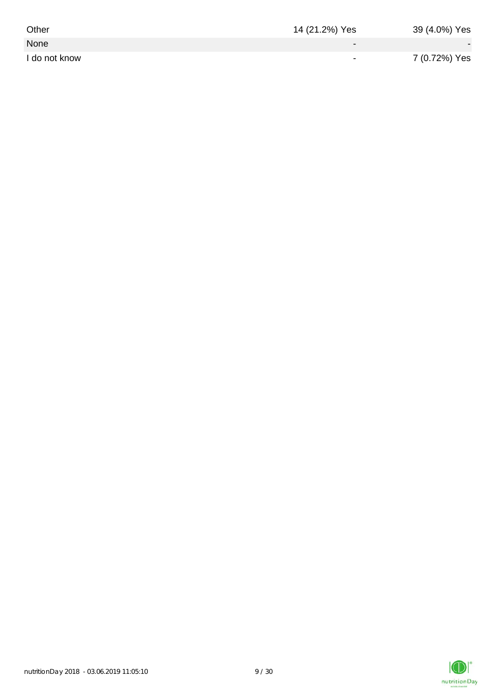| Other         | 14 (21.2%) Yes           | 39 (4.0%) Yes            |
|---------------|--------------------------|--------------------------|
| None          | $\overline{\phantom{0}}$ | $\overline{\phantom{a}}$ |
| I do not know | $\overline{\phantom{0}}$ | 7 (0.72%) Yes            |

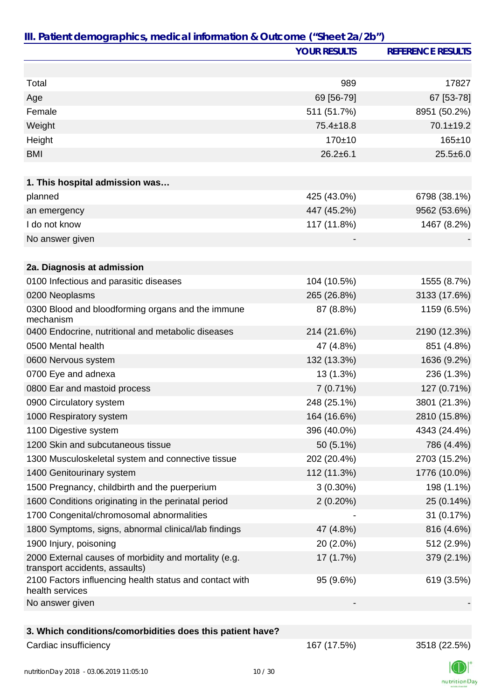|                                                                                         | <b>YOUR RESULTS</b> | <b>REFERENCE RESULTS</b> |
|-----------------------------------------------------------------------------------------|---------------------|--------------------------|
|                                                                                         |                     |                          |
| Total                                                                                   | 989                 | 17827                    |
| Age                                                                                     | 69 [56-79]          | 67 [53-78]               |
| Female                                                                                  | 511 (51.7%)         | 8951 (50.2%)             |
| Weight                                                                                  | 75.4±18.8           | $70.1 \pm 19.2$          |
| Height                                                                                  | $170 + 10$          | $165 + 10$               |
| <b>BMI</b>                                                                              | $26.2 \pm 6.1$      | $25.5 \pm 6.0$           |
| 1. This hospital admission was                                                          |                     |                          |
| planned                                                                                 | 425 (43.0%)         | 6798 (38.1%)             |
| an emergency                                                                            | 447 (45.2%)         | 9562 (53.6%)             |
| I do not know                                                                           | 117 (11.8%)         | 1467 (8.2%)              |
| No answer given                                                                         |                     |                          |
|                                                                                         |                     |                          |
| 2a. Diagnosis at admission                                                              |                     |                          |
| 0100 Infectious and parasitic diseases                                                  | 104 (10.5%)         | 1555 (8.7%)              |
| 0200 Neoplasms                                                                          | 265 (26.8%)         | 3133 (17.6%)             |
| 0300 Blood and bloodforming organs and the immune<br>mechanism                          | 87 (8.8%)           | 1159 (6.5%)              |
| 0400 Endocrine, nutritional and metabolic diseases                                      | 214 (21.6%)         | 2190 (12.3%)             |
| 0500 Mental health                                                                      | 47 (4.8%)           | 851 (4.8%)               |
| 0600 Nervous system                                                                     | 132 (13.3%)         | 1636 (9.2%)              |
| 0700 Eye and adnexa                                                                     | 13 (1.3%)           | 236 (1.3%)               |
| 0800 Ear and mastoid process                                                            | 7 (0.71%)           | 127 (0.71%)              |
| 0900 Circulatory system                                                                 | 248 (25.1%)         | 3801 (21.3%)             |
| 1000 Respiratory system                                                                 | 164 (16.6%)         | 2810 (15.8%)             |
| 1100 Digestive system                                                                   | 396 (40.0%)         | 4343 (24.4%)             |
| 1200 Skin and subcutaneous tissue                                                       | 50 (5.1%)           | 786 (4.4%)               |
| 1300 Musculoskeletal system and connective tissue                                       | 202 (20.4%)         | 2703 (15.2%)             |
| 1400 Genitourinary system                                                               | 112 (11.3%)         | 1776 (10.0%)             |
| 1500 Pregnancy, childbirth and the puerperium                                           | $3(0.30\%)$         | 198 (1.1%)               |
| 1600 Conditions originating in the perinatal period                                     | $2(0.20\%)$         | 25 (0.14%)               |
| 1700 Congenital/chromosomal abnormalities                                               |                     | 31 (0.17%)               |
| 1800 Symptoms, signs, abnormal clinical/lab findings                                    | 47 (4.8%)           | 816 (4.6%)               |
| 1900 Injury, poisoning                                                                  | 20 (2.0%)           | 512 (2.9%)               |
| 2000 External causes of morbidity and mortality (e.g.<br>transport accidents, assaults) | 17 (1.7%)           | 379 (2.1%)               |
| 2100 Factors influencing health status and contact with<br>health services              | 95 (9.6%)           | 619 (3.5%)               |
| No answer given                                                                         |                     |                          |
|                                                                                         |                     |                          |
| 3. Which conditions/comorbidities does this patient have?                               |                     |                          |
| Cardiac insufficiency                                                                   | 167 (17.5%)         | 3518 (22.5%)             |

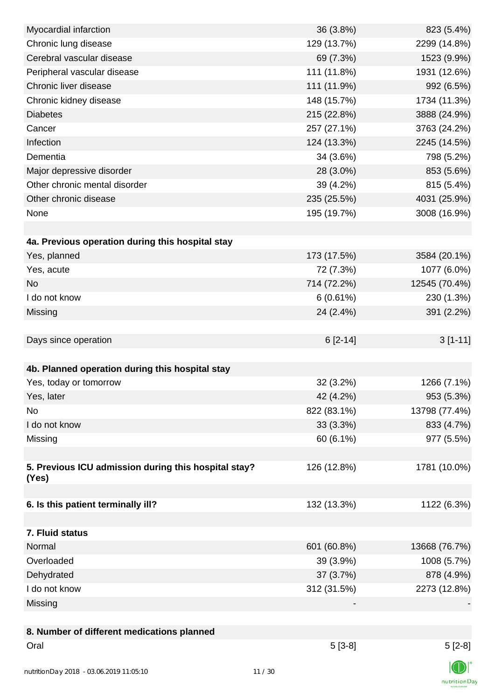| Myocardial infarction                                | 36 (3.8%)   | 823 (5.4%)    |
|------------------------------------------------------|-------------|---------------|
| Chronic lung disease                                 | 129 (13.7%) | 2299 (14.8%)  |
| Cerebral vascular disease                            | 69 (7.3%)   | 1523 (9.9%)   |
| Peripheral vascular disease                          | 111 (11.8%) | 1931 (12.6%)  |
| Chronic liver disease                                | 111 (11.9%) | 992 (6.5%)    |
| Chronic kidney disease                               | 148 (15.7%) | 1734 (11.3%)  |
| <b>Diabetes</b>                                      | 215 (22.8%) | 3888 (24.9%)  |
| Cancer                                               | 257 (27.1%) | 3763 (24.2%)  |
| Infection                                            | 124 (13.3%) | 2245 (14.5%)  |
| Dementia                                             | 34 (3.6%)   | 798 (5.2%)    |
| Major depressive disorder                            | 28 (3.0%)   | 853 (5.6%)    |
| Other chronic mental disorder                        | 39 (4.2%)   | 815 (5.4%)    |
| Other chronic disease                                | 235 (25.5%) | 4031 (25.9%)  |
| None                                                 | 195 (19.7%) | 3008 (16.9%)  |
|                                                      |             |               |
| 4a. Previous operation during this hospital stay     |             |               |
| Yes, planned                                         | 173 (17.5%) | 3584 (20.1%)  |
| Yes, acute                                           | 72 (7.3%)   | 1077 (6.0%)   |
| <b>No</b>                                            | 714 (72.2%) | 12545 (70.4%) |
| I do not know                                        | 6(0.61%)    | 230 (1.3%)    |
| Missing                                              | 24 (2.4%)   | 391 (2.2%)    |
|                                                      |             |               |
| Days since operation                                 | $6[2-14]$   | $3[1-11]$     |
|                                                      |             |               |
| 4b. Planned operation during this hospital stay      |             |               |
| Yes, today or tomorrow                               | 32 (3.2%)   | 1266 (7.1%)   |
| Yes, later                                           | 42 (4.2%)   | 953 (5.3%)    |
| No                                                   | 822 (83.1%) | 13798 (77.4%) |
| I do not know                                        | 33 (3.3%)   | 833 (4.7%)    |
| Missing                                              | 60 (6.1%)   | 977 (5.5%)    |
|                                                      |             |               |
| 5. Previous ICU admission during this hospital stay? | 126 (12.8%) | 1781 (10.0%)  |
| (Yes)                                                |             |               |
|                                                      |             |               |
| 6. Is this patient terminally ill?                   | 132 (13.3%) | 1122 (6.3%)   |
|                                                      |             |               |
| 7. Fluid status                                      |             |               |
| Normal                                               | 601 (60.8%) | 13668 (76.7%) |
| Overloaded                                           | 39 (3.9%)   | 1008 (5.7%)   |
| Dehydrated                                           | 37 (3.7%)   | 878 (4.9%)    |
| I do not know                                        | 312 (31.5%) | 2273 (12.8%)  |
| Missing                                              |             |               |
|                                                      |             |               |
| 8. Number of different medications planned           |             |               |
| Oral                                                 | $5[3-8]$    | $5[2-8]$      |
|                                                      |             |               |
| nutrition Day 2018 - 03.06.2019 11:05:10             | 11/30       |               |

nutritionDay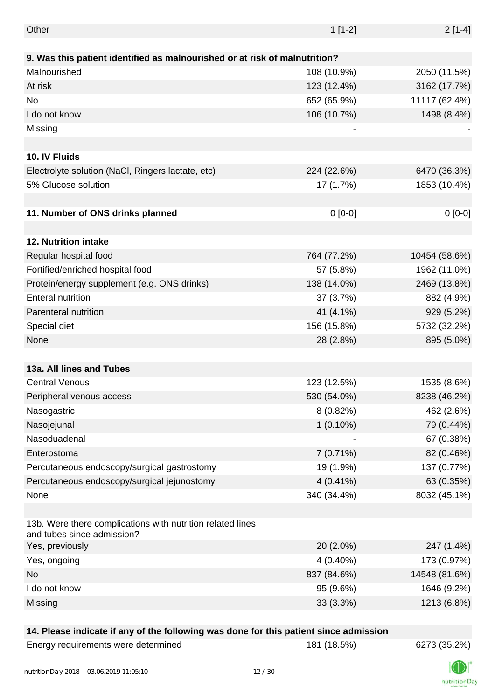| Other                                                                                    | $1[1-2]$    | $2[1-4]$      |
|------------------------------------------------------------------------------------------|-------------|---------------|
|                                                                                          |             |               |
| 9. Was this patient identified as malnourished or at risk of malnutrition?               |             |               |
| Malnourished                                                                             | 108 (10.9%) | 2050 (11.5%)  |
| At risk                                                                                  | 123 (12.4%) | 3162 (17.7%)  |
| No                                                                                       | 652 (65.9%) | 11117 (62.4%) |
| I do not know                                                                            | 106 (10.7%) | 1498 (8.4%)   |
| Missing                                                                                  |             |               |
|                                                                                          |             |               |
| 10. IV Fluids                                                                            |             |               |
| Electrolyte solution (NaCl, Ringers lactate, etc)                                        | 224 (22.6%) | 6470 (36.3%)  |
| 5% Glucose solution                                                                      | 17 (1.7%)   | 1853 (10.4%)  |
|                                                                                          |             |               |
| 11. Number of ONS drinks planned                                                         | $0[0-0]$    | $0[0-0]$      |
|                                                                                          |             |               |
| 12. Nutrition intake                                                                     |             |               |
| Regular hospital food                                                                    | 764 (77.2%) | 10454 (58.6%) |
| Fortified/enriched hospital food                                                         | 57 (5.8%)   | 1962 (11.0%)  |
| Protein/energy supplement (e.g. ONS drinks)                                              | 138 (14.0%) | 2469 (13.8%)  |
| <b>Enteral nutrition</b>                                                                 | 37 (3.7%)   | 882 (4.9%)    |
| Parenteral nutrition                                                                     | 41 (4.1%)   | 929 (5.2%)    |
| Special diet                                                                             | 156 (15.8%) | 5732 (32.2%)  |
| None                                                                                     | 28 (2.8%)   | 895 (5.0%)    |
|                                                                                          |             |               |
| 13a. All lines and Tubes                                                                 |             |               |
| <b>Central Venous</b>                                                                    | 123 (12.5%) | 1535 (8.6%)   |
| Peripheral venous access                                                                 | 530 (54.0%) | 8238 (46.2%)  |
| Nasogastric                                                                              | $8(0.82\%)$ | 462 (2.6%)    |
| Nasojejunal                                                                              | $1(0.10\%)$ | 79 (0.44%)    |
| Nasoduadenal                                                                             |             | 67 (0.38%)    |
|                                                                                          |             |               |
| Enterostoma                                                                              | $7(0.71\%)$ | 82 (0.46%)    |
| Percutaneous endoscopy/surgical gastrostomy                                              | 19 (1.9%)   | 137 (0.77%)   |
| Percutaneous endoscopy/surgical jejunostomy                                              | $4(0.41\%)$ | 63 (0.35%)    |
| None                                                                                     | 340 (34.4%) | 8032 (45.1%)  |
| 13b. Were there complications with nutrition related lines<br>and tubes since admission? |             |               |
| Yes, previously                                                                          | 20 (2.0%)   | 247 (1.4%)    |
| Yes, ongoing                                                                             | $4(0.40\%)$ | 173 (0.97%)   |
| No                                                                                       | 837 (84.6%) | 14548 (81.6%) |
| I do not know                                                                            | 95 (9.6%)   | 1646 (9.2%)   |
| Missing                                                                                  | 33 (3.3%)   | 1213 (6.8%)   |
|                                                                                          |             |               |

#### **14. Please indicate if any of the following was done for this patient since admission**

Energy requirements were determined 181 (18.5%) 6273 (35.2%)



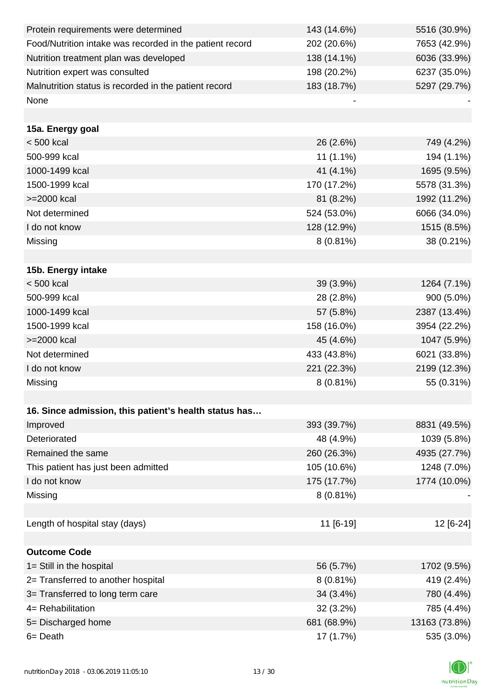| Protein requirements were determined                     | 143 (14.6%) | 5516 (30.9%)  |
|----------------------------------------------------------|-------------|---------------|
| Food/Nutrition intake was recorded in the patient record | 202 (20.6%) | 7653 (42.9%)  |
| Nutrition treatment plan was developed                   | 138 (14.1%) | 6036 (33.9%)  |
| Nutrition expert was consulted                           | 198 (20.2%) | 6237 (35.0%)  |
| Malnutrition status is recorded in the patient record    | 183 (18.7%) | 5297 (29.7%)  |
| None                                                     |             |               |
|                                                          |             |               |
| 15a. Energy goal                                         |             |               |
| $< 500$ kcal                                             | 26 (2.6%)   | 749 (4.2%)    |
| 500-999 kcal                                             | $11(1.1\%)$ | 194 (1.1%)    |
| 1000-1499 kcal                                           | 41 (4.1%)   | 1695 (9.5%)   |
| 1500-1999 kcal                                           | 170 (17.2%) | 5578 (31.3%)  |
| >=2000 kcal                                              | 81 (8.2%)   | 1992 (11.2%)  |
| Not determined                                           | 524 (53.0%) | 6066 (34.0%)  |
| I do not know                                            | 128 (12.9%) | 1515 (8.5%)   |
| Missing                                                  | $8(0.81\%)$ | 38 (0.21%)    |
|                                                          |             |               |
| 15b. Energy intake                                       |             |               |
| $< 500$ kcal                                             | 39 (3.9%)   | 1264 (7.1%)   |
| 500-999 kcal                                             | 28 (2.8%)   | 900 (5.0%)    |
| 1000-1499 kcal                                           | 57 (5.8%)   | 2387 (13.4%)  |
| 1500-1999 kcal                                           | 158 (16.0%) | 3954 (22.2%)  |
| >=2000 kcal                                              | 45 (4.6%)   | 1047 (5.9%)   |
| Not determined                                           | 433 (43.8%) | 6021 (33.8%)  |
| I do not know                                            | 221 (22.3%) | 2199 (12.3%)  |
| Missing                                                  | $8(0.81\%)$ | 55 (0.31%)    |
|                                                          |             |               |
| 16. Since admission, this patient's health status has    |             |               |
| Improved                                                 | 393 (39.7%) | 8831 (49.5%)  |
| Deteriorated                                             | 48 (4.9%)   | 1039 (5.8%)   |
| Remained the same                                        | 260 (26.3%) | 4935 (27.7%)  |
| This patient has just been admitted                      | 105 (10.6%) | 1248 (7.0%)   |
| I do not know                                            | 175 (17.7%) | 1774 (10.0%)  |
| Missing                                                  | $8(0.81\%)$ |               |
|                                                          |             |               |
| Length of hospital stay (days)                           | 11 [6-19]   | 12 [6-24]     |
|                                                          |             |               |
| <b>Outcome Code</b>                                      |             |               |
| 1= Still in the hospital                                 | 56 (5.7%)   | 1702 (9.5%)   |
| 2= Transferred to another hospital                       | $8(0.81\%)$ | 419 (2.4%)    |
| 3= Transferred to long term care                         | 34 (3.4%)   | 780 (4.4%)    |
| 4= Rehabilitation                                        | 32 (3.2%)   | 785 (4.4%)    |
| 5= Discharged home                                       | 681 (68.9%) | 13163 (73.8%) |
| $6 = Death$                                              | 17 (1.7%)   | 535 (3.0%)    |

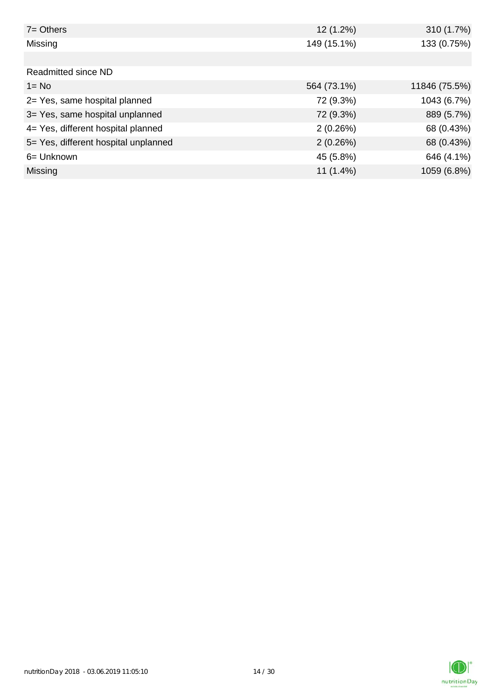| $7 =$ Others                         | 12 (1.2%)   | 310 (1.7%)    |
|--------------------------------------|-------------|---------------|
| Missing                              | 149 (15.1%) | 133 (0.75%)   |
|                                      |             |               |
| Readmitted since ND                  |             |               |
| $1 = No$                             | 564 (73.1%) | 11846 (75.5%) |
| 2= Yes, same hospital planned        | 72 (9.3%)   | 1043 (6.7%)   |
| 3= Yes, same hospital unplanned      | 72 (9.3%)   | 889 (5.7%)    |
| 4= Yes, different hospital planned   | 2(0.26%)    | 68 (0.43%)    |
| 5= Yes, different hospital unplanned | 2(0.26%)    | 68 (0.43%)    |
| 6= Unknown                           | 45 (5.8%)   | 646 (4.1%)    |
| <b>Missing</b>                       | $11(1.4\%)$ | 1059 (6.8%)   |

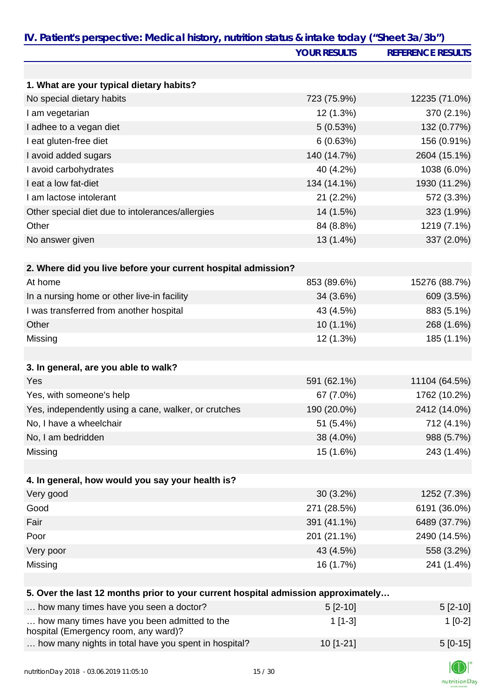|                                                                                   | <b>YOUR RESULTS</b> | <b>REFERENCE RESULTS</b> |
|-----------------------------------------------------------------------------------|---------------------|--------------------------|
|                                                                                   |                     |                          |
| 1. What are your typical dietary habits?                                          |                     |                          |
| No special dietary habits                                                         | 723 (75.9%)         | 12235 (71.0%)            |
| I am vegetarian                                                                   | 12 (1.3%)           | 370 (2.1%)               |
| I adhee to a vegan diet                                                           | 5(0.53%)            | 132 (0.77%)              |
| I eat gluten-free diet                                                            | 6(0.63%)            | 156 (0.91%)              |
| I avoid added sugars                                                              | 140 (14.7%)         | 2604 (15.1%)             |
| I avoid carbohydrates                                                             | 40 (4.2%)           | 1038 (6.0%)              |
| I eat a low fat-diet                                                              | 134 (14.1%)         | 1930 (11.2%)             |
| I am lactose intolerant                                                           | 21 (2.2%)           | 572 (3.3%)               |
| Other special diet due to intolerances/allergies                                  | 14 (1.5%)           | 323 (1.9%)               |
| Other                                                                             | 84 (8.8%)           | 1219 (7.1%)              |
| No answer given                                                                   | 13 (1.4%)           | 337 (2.0%)               |
| 2. Where did you live before your current hospital admission?                     |                     |                          |
| At home                                                                           | 853 (89.6%)         | 15276 (88.7%)            |
|                                                                                   |                     |                          |
| In a nursing home or other live-in facility                                       | 34 (3.6%)           | 609 (3.5%)               |
| I was transferred from another hospital<br>Other                                  | 43 (4.5%)           | 883 (5.1%)               |
|                                                                                   | 10 (1.1%)           | 268 (1.6%)               |
| Missing                                                                           | 12 (1.3%)           | 185 (1.1%)               |
| 3. In general, are you able to walk?                                              |                     |                          |
| Yes                                                                               | 591 (62.1%)         | 11104 (64.5%)            |
| Yes, with someone's help                                                          | 67 (7.0%)           | 1762 (10.2%)             |
| Yes, independently using a cane, walker, or crutches                              | 190 (20.0%)         | 2412 (14.0%)             |
| No, I have a wheelchair                                                           | 51 (5.4%)           | 712 (4.1%)               |
| No, I am bedridden                                                                | 38 (4.0%)           | 988 (5.7%)               |
| Missing                                                                           | 15 (1.6%)           | 243 (1.4%)               |
|                                                                                   |                     |                          |
| 4. In general, how would you say your health is?                                  |                     |                          |
| Very good                                                                         | $30(3.2\%)$         | 1252 (7.3%)              |
| Good                                                                              | 271 (28.5%)         | 6191 (36.0%)             |
| Fair                                                                              | 391 (41.1%)         | 6489 (37.7%)             |
| Poor                                                                              | 201 (21.1%)         | 2490 (14.5%)             |
| Very poor                                                                         | 43 (4.5%)           | 558 (3.2%)               |
| Missing                                                                           | 16 (1.7%)           | 241 (1.4%)               |
| 5. Over the last 12 months prior to your current hospital admission approximately |                     |                          |
| how many times have you seen a doctor?                                            | $5[2-10]$           | $5[2-10]$                |
| how many times have you been admitted to the                                      | $1[1-3]$            |                          |
| hospital (Emergency room, any ward)?                                              |                     | $1[0-2]$                 |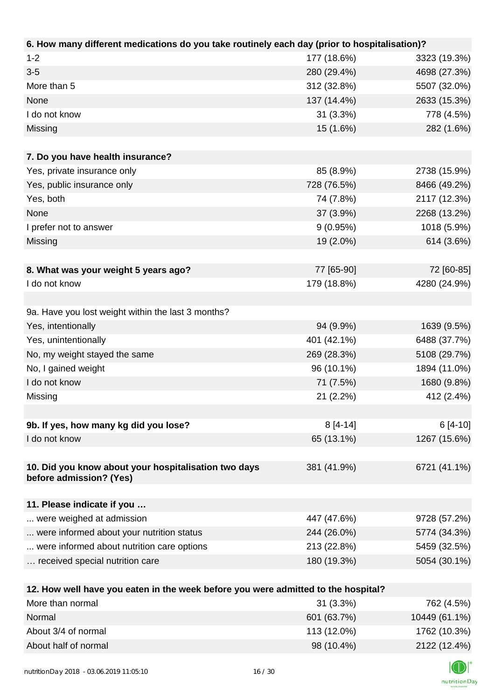| 6. How many different medications do you take routinely each day (prior to hospitalisation)? |             |              |
|----------------------------------------------------------------------------------------------|-------------|--------------|
| $1 - 2$                                                                                      | 177 (18.6%) | 3323 (19.3%) |
| $3-5$                                                                                        | 280 (29.4%) | 4698 (27.3%) |
| More than 5                                                                                  | 312 (32.8%) | 5507 (32.0%) |
| None                                                                                         | 137 (14.4%) | 2633 (15.3%) |
| I do not know                                                                                | $31(3.3\%)$ | 778 (4.5%)   |
| Missing                                                                                      | 15 (1.6%)   | 282 (1.6%)   |
|                                                                                              |             |              |
| 7. Do you have health insurance?                                                             |             |              |
| Yes, private insurance only                                                                  | 85 (8.9%)   | 2738 (15.9%) |
| Yes, public insurance only                                                                   | 728 (76.5%) | 8466 (49.2%) |
| Yes, both                                                                                    | 74 (7.8%)   | 2117 (12.3%) |
| None                                                                                         | 37 (3.9%)   | 2268 (13.2%) |
| I prefer not to answer                                                                       | 9(0.95%)    | 1018 (5.9%)  |
| Missing                                                                                      | 19 (2.0%)   | 614 (3.6%)   |
|                                                                                              |             |              |
| 8. What was your weight 5 years ago?                                                         | 77 [65-90]  | 72 [60-85]   |
| I do not know                                                                                | 179 (18.8%) | 4280 (24.9%) |
|                                                                                              |             |              |
| 9a. Have you lost weight within the last 3 months?                                           |             |              |
| Yes, intentionally                                                                           | 94 (9.9%)   | 1639 (9.5%)  |
| Yes, unintentionally                                                                         | 401 (42.1%) | 6488 (37.7%) |
| No, my weight stayed the same                                                                | 269 (28.3%) | 5108 (29.7%) |
| No, I gained weight                                                                          | 96 (10.1%)  | 1894 (11.0%) |
| I do not know                                                                                | 71 (7.5%)   | 1680 (9.8%)  |
| Missing                                                                                      | 21 (2.2%)   | 412 (2.4%)   |
|                                                                                              |             |              |
| 9b. If yes, how many kg did you lose?                                                        | $8[4-14]$   | $6[4-10]$    |
| I do not know                                                                                | 65 (13.1%)  | 1267 (15.6%) |
|                                                                                              |             |              |
| 10. Did you know about your hospitalisation two days<br>before admission? (Yes)              | 381 (41.9%) | 6721 (41.1%) |
|                                                                                              |             |              |
| 11. Please indicate if you                                                                   |             |              |
| were weighed at admission                                                                    | 447 (47.6%) | 9728 (57.2%) |
| were informed about your nutrition status                                                    | 244 (26.0%) | 5774 (34.3%) |
| were informed about nutrition care options                                                   | 213 (22.8%) | 5459 (32.5%) |
| received special nutrition care                                                              | 180 (19.3%) | 5054 (30.1%) |
|                                                                                              |             |              |
| 12. How well have you eaten in the week before you were admitted to the hospital?            |             |              |
| More than normal                                                                             | 31 (3.3%)   | 762 (4.5%)   |

| 110101011110111101   | <u>UI IU.U /UI</u> | $1 \cup 2 \cup 1$ |
|----------------------|--------------------|-------------------|
| Normal               | 601 (63.7%)        | 10449 (61.1%)     |
| About 3/4 of normal  | 113 (12.0%)        | 1762 (10.3%)      |
| About half of normal | 98 (10.4%)         | 2122 (12.4%)      |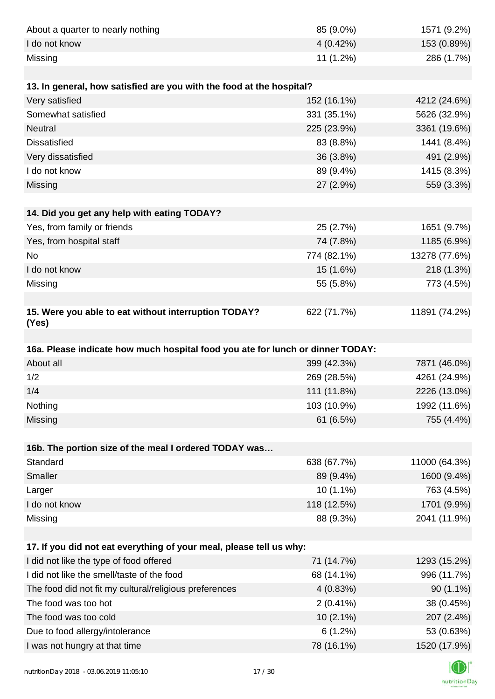| About a quarter to nearly nothing                                              | 85 (9.0%)             | 1571 (9.2%)                |
|--------------------------------------------------------------------------------|-----------------------|----------------------------|
| I do not know                                                                  | 4 (0.42%)             | 153 (0.89%)                |
| Missing                                                                        | 11 (1.2%)             | 286 (1.7%)                 |
|                                                                                |                       |                            |
| 13. In general, how satisfied are you with the food at the hospital?           |                       |                            |
| Very satisfied                                                                 | 152 (16.1%)           | 4212 (24.6%)               |
| Somewhat satisfied                                                             | 331 (35.1%)           | 5626 (32.9%)               |
| <b>Neutral</b>                                                                 | 225 (23.9%)           | 3361 (19.6%)               |
| <b>Dissatisfied</b>                                                            | 83 (8.8%)             | 1441 (8.4%)                |
| Very dissatisfied                                                              | 36 (3.8%)             | 491 (2.9%)                 |
| I do not know                                                                  | 89 (9.4%)             | 1415 (8.3%)                |
| Missing                                                                        | 27 (2.9%)             | 559 (3.3%)                 |
|                                                                                |                       |                            |
| 14. Did you get any help with eating TODAY?                                    |                       |                            |
| Yes, from family or friends                                                    | 25 (2.7%)             | 1651 (9.7%)                |
| Yes, from hospital staff                                                       | 74 (7.8%)             | 1185 (6.9%)                |
| <b>No</b>                                                                      | 774 (82.1%)           | 13278 (77.6%)              |
| I do not know                                                                  | 15 (1.6%)             | 218 (1.3%)                 |
| Missing                                                                        | 55 (5.8%)             | 773 (4.5%)                 |
|                                                                                |                       |                            |
| 15. Were you able to eat without interruption TODAY?<br>(Yes)                  | 622 (71.7%)           | 11891 (74.2%)              |
|                                                                                |                       |                            |
| 16a. Please indicate how much hospital food you ate for lunch or dinner TODAY: |                       |                            |
| About all                                                                      | 399 (42.3%)           | 7871 (46.0%)               |
| 1/2                                                                            | 269 (28.5%)           | 4261 (24.9%)               |
| 1/4                                                                            | 111 (11.8%)           | 2226 (13.0%)               |
| Nothing                                                                        | 103 (10.9%)           | 1992 (11.6%)               |
| Missing                                                                        | 61 (6.5%)             | 755 (4.4%)                 |
|                                                                                |                       |                            |
| 16b. The portion size of the meal I ordered TODAY was                          |                       |                            |
| Standard                                                                       | 638 (67.7%)           | 11000 (64.3%)              |
| Smaller                                                                        | 89 (9.4%)             | 1600 (9.4%)                |
| Larger                                                                         | $10(1.1\%)$           | 763 (4.5%)                 |
| I do not know                                                                  | 118 (12.5%)           | 1701 (9.9%)                |
| Missing                                                                        | 88 (9.3%)             | 2041 (11.9%)               |
|                                                                                |                       |                            |
|                                                                                |                       |                            |
| 17. If you did not eat everything of your meal, please tell us why:            |                       |                            |
| I did not like the type of food offered                                        | 71 (14.7%)            | 1293 (15.2%)               |
| I did not like the smell/taste of the food                                     | 68 (14.1%)            | 996 (11.7%)                |
| The food did not fit my cultural/religious preferences                         | 4(0.83%)              | $90(1.1\%)$                |
| The food was too hot                                                           | $2(0.41\%)$           | 38 (0.45%)                 |
| The food was too cold                                                          | $10(2.1\%)$           | 207 (2.4%)                 |
| Due to food allergy/intolerance<br>I was not hungry at that time               | 6(1.2%)<br>78 (16.1%) | 53 (0.63%)<br>1520 (17.9%) |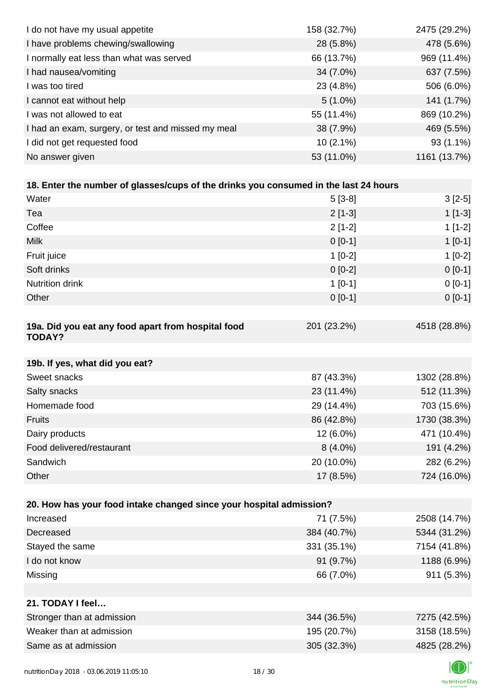| I do not have my usual appetite                                                      | 158 (32.7%) | 2475 (29.2%) |
|--------------------------------------------------------------------------------------|-------------|--------------|
| I have problems chewing/swallowing                                                   | 28 (5.8%)   | 478 (5.6%)   |
| I normally eat less than what was served                                             | 66 (13.7%)  | 969 (11.4%)  |
| I had nausea/vomiting                                                                | 34 (7.0%)   | 637 (7.5%)   |
| I was too tired                                                                      | 23 (4.8%)   | 506 (6.0%)   |
| I cannot eat without help                                                            | $5(1.0\%)$  | 141 (1.7%)   |
| I was not allowed to eat                                                             | 55 (11.4%)  | 869 (10.2%)  |
| I had an exam, surgery, or test and missed my meal                                   | 38 (7.9%)   | 469 (5.5%)   |
| I did not get requested food                                                         | $10(2.1\%)$ | 93 (1.1%)    |
| No answer given                                                                      | 53 (11.0%)  | 1161 (13.7%) |
|                                                                                      |             |              |
| 18. Enter the number of glasses/cups of the drinks you consumed in the last 24 hours |             |              |
| Water                                                                                | $5[3-8]$    | $3[2-5]$     |
| Tea                                                                                  | $2[1-3]$    | $1[1-3]$     |
| Coffee                                                                               | $2[1-2]$    | $1[1-2]$     |
| <b>Milk</b>                                                                          | $0[0-1]$    | $1[0-1]$     |
| Fruit juice                                                                          | $1[0-2]$    | $1[0-2]$     |
| Soft drinks                                                                          | $0[0-2]$    | $0[0-1]$     |
| Nutrition drink                                                                      | $1[0-1]$    | $0[0-1]$     |
| Other                                                                                | $0[0-1]$    | $0[0-1]$     |
|                                                                                      |             |              |
| 19a. Did you eat any food apart from hospital food<br><b>TODAY?</b>                  | 201 (23.2%) | 4518 (28.8%) |
| 19b. If yes, what did you eat?                                                       |             |              |
| Sweet snacks                                                                         | 87 (43.3%)  | 1302 (28.8%) |
| Salty snacks                                                                         | 23 (11.4%)  | 512 (11.3%)  |
| Homemade food                                                                        | 29 (14.4%)  | 703 (15.6%)  |
| <b>Fruits</b>                                                                        | 86 (42.8%)  | 1730 (38.3%) |
| Dairy products                                                                       | 12 (6.0%)   | 471 (10.4%)  |
| Food delivered/restaurant                                                            | $8(4.0\%)$  | 191 (4.2%)   |
| Sandwich                                                                             | 20 (10.0%)  | 282 (6.2%)   |
| Other                                                                                | 17 (8.5%)   | 724 (16.0%)  |
|                                                                                      |             |              |
| 20. How has your food intake changed since your hospital admission?                  |             |              |
| Increased                                                                            | 71 (7.5%)   | 2508 (14.7%) |
| Decreased                                                                            | 384 (40.7%) | 5344 (31.2%) |
| Stayed the same                                                                      | 331 (35.1%) | 7154 (41.8%) |
| I do not know                                                                        | 91 (9.7%)   | 1188 (6.9%)  |
| Missing                                                                              | 66 (7.0%)   | 911 (5.3%)   |
| 21. TODAY I feel                                                                     |             |              |
| Stronger than at admission                                                           | 344 (36.5%) | 7275 (42.5%) |
| Weaker than at admission                                                             | 195 (20.7%) | 3158 (18.5%) |
| Same as at admission                                                                 | 305 (32.3%) | 4825 (28.2%) |
|                                                                                      |             |              |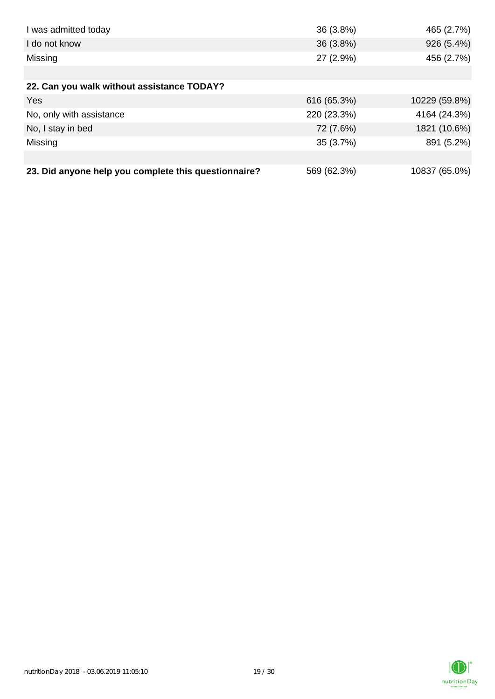| I was admitted today                                 | 36 (3.8%)   | 465 (2.7%)    |
|------------------------------------------------------|-------------|---------------|
| I do not know                                        | 36(3.8%)    | 926 (5.4%)    |
| Missing                                              | 27 (2.9%)   | 456 (2.7%)    |
|                                                      |             |               |
| 22. Can you walk without assistance TODAY?           |             |               |
| Yes                                                  | 616 (65.3%) | 10229 (59.8%) |
| No, only with assistance                             | 220 (23.3%) | 4164 (24.3%)  |
| No, I stay in bed                                    | 72 (7.6%)   | 1821 (10.6%)  |
| Missing                                              | 35 (3.7%)   | 891 (5.2%)    |
|                                                      |             |               |
| 23. Did anyone help you complete this questionnaire? | 569 (62.3%) | 10837 (65.0%) |

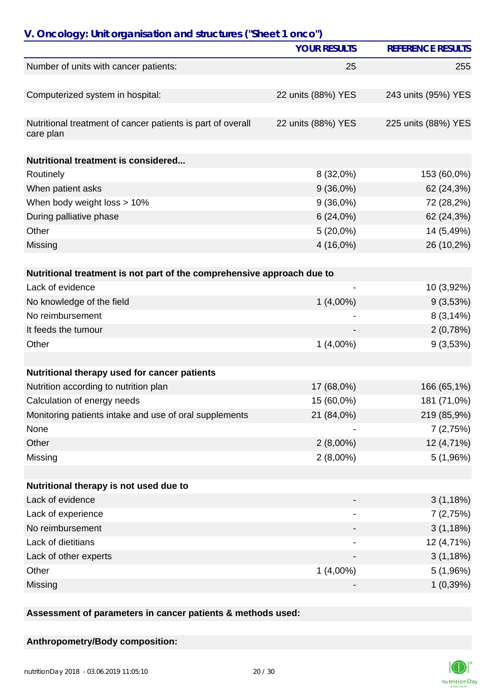| V. Oncology: Unit organisation and structures ("Sheet 1 onco")           | <b>YOUR RESULTS</b>      | <b>REFERENCE RESULTS</b> |
|--------------------------------------------------------------------------|--------------------------|--------------------------|
| Number of units with cancer patients:                                    | 25                       | 255                      |
|                                                                          |                          |                          |
| Computerized system in hospital:                                         | 22 units (88%) YES       | 243 units (95%) YES      |
| Nutritional treatment of cancer patients is part of overall<br>care plan | 22 units (88%) YES       | 225 units (88%) YES      |
| <b>Nutritional treatment is considered</b>                               |                          |                          |
| Routinely                                                                | 8 (32,0%)                | 153 (60,0%)              |
| When patient asks                                                        | $9(36,0\%)$              | 62 (24,3%)               |
| When body weight loss > 10%                                              | $9(36,0\%)$              | 72 (28,2%)               |
| During palliative phase                                                  | 6(24,0%)                 | 62 (24,3%)               |
| Other                                                                    | $5(20,0\%)$              | 14 (5,49%)               |
| Missing                                                                  | 4 (16,0%)                | 26 (10,2%)               |
| Nutritional treatment is not part of the comprehensive approach due to   |                          |                          |
| Lack of evidence                                                         | $\overline{\phantom{0}}$ | 10 (3,92%)               |
| No knowledge of the field                                                | $1(4,00\%)$              | 9(3,53%)                 |
| No reimbursement                                                         |                          | 8(3,14%)                 |
| It feeds the tumour                                                      |                          | 2(0,78%)                 |
| Other                                                                    | $1(4,00\%)$              | 9(3,53%)                 |
|                                                                          |                          |                          |
| Nutritional therapy used for cancer patients                             |                          |                          |
| Nutrition according to nutrition plan                                    | 17 (68,0%)               | 166 (65,1%)              |
| Calculation of energy needs                                              | 15 (60,0%)               | 181 (71,0%)              |
| Monitoring patients intake and use of oral supplements                   | 21 (84,0%)               | 219 (85,9%)              |
| None                                                                     |                          | 7(2,75%)                 |
| Other                                                                    | $2(8,00\%)$              | 12 (4,71%)               |
| Missing                                                                  | $2(8,00\%)$              | 5(1,96%)                 |
| Nutritional therapy is not used due to                                   |                          |                          |
| Lack of evidence                                                         |                          | 3(1,18%)                 |
| Lack of experience                                                       |                          | 7(2,75%)                 |
| No reimbursement                                                         |                          | 3(1,18%)                 |
| Lack of dietitians                                                       |                          | 12 (4,71%)               |
| Lack of other experts                                                    |                          | 3(1,18%)                 |
| Other                                                                    | $1(4,00\%)$              | 5(1,96%)                 |
| Missing                                                                  |                          | 1(0,39%)                 |

**Assessment of parameters in cancer patients & methods used:**

**Anthropometry/Body composition:**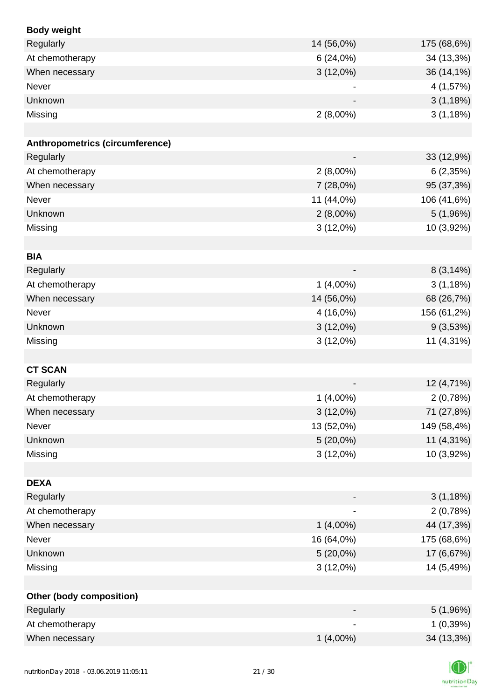| <b>Body weight</b>              |                          |             |
|---------------------------------|--------------------------|-------------|
| Regularly                       | 14 (56,0%)               | 175 (68,6%) |
| At chemotherapy                 | 6(24,0%)                 | 34 (13,3%)  |
| When necessary                  | $3(12,0\%)$              | 36 (14,1%)  |
| Never                           |                          | 4 (1,57%)   |
| Unknown                         |                          | 3(1,18%)    |
| Missing                         | $2(8,00\%)$              | 3(1,18%)    |
|                                 |                          |             |
| Anthropometrics (circumference) |                          |             |
| Regularly                       |                          | 33 (12,9%)  |
| At chemotherapy                 | $2(8,00\%)$              | 6(2,35%)    |
| When necessary                  | 7(28,0%)                 | 95 (37,3%)  |
| Never                           | 11 (44,0%)               | 106 (41,6%) |
| Unknown                         | $2(8,00\%)$              | 5(1,96%)    |
| Missing                         | $3(12,0\%)$              | 10 (3,92%)  |
|                                 |                          |             |
| <b>BIA</b>                      |                          |             |
| Regularly                       |                          | 8(3,14%)    |
| At chemotherapy                 | $1(4,00\%)$              | 3(1,18%)    |
| When necessary                  | 14 (56,0%)               | 68 (26,7%)  |
| <b>Never</b>                    | 4 (16,0%)                | 156 (61,2%) |
| Unknown                         | $3(12,0\%)$              | 9(3,53%)    |
| Missing                         | $3(12,0\%)$              | 11 (4,31%)  |
|                                 |                          |             |
| <b>CT SCAN</b>                  |                          |             |
| Regularly                       |                          | 12 (4,71%)  |
| At chemotherapy                 | $1(4,00\%)$              | 2(0,78%)    |
| When necessary                  | $3(12,0\%)$              | 71 (27,8%)  |
| Never                           | 13 (52,0%)               | 149 (58,4%) |
| Unknown                         | $5(20,0\%)$              | 11 (4,31%)  |
| Missing                         | $3(12,0\%)$              | 10 (3,92%)  |
|                                 |                          |             |
| <b>DEXA</b>                     |                          |             |
| Regularly                       | $\overline{\phantom{a}}$ | 3(1,18%)    |
| At chemotherapy                 |                          | 2(0,78%)    |
| When necessary                  | $1(4,00\%)$              | 44 (17,3%)  |
| Never                           | 16 (64,0%)               | 175 (68,6%) |
| Unknown                         | $5(20,0\%)$              | 17 (6,67%)  |
| Missing                         | $3(12,0\%)$              | 14 (5,49%)  |
|                                 |                          |             |
| <b>Other (body composition)</b> |                          |             |
| Regularly                       |                          | 5(1,96%)    |
| At chemotherapy                 |                          | 1(0,39%)    |
| When necessary                  | $1(4,00\%)$              | 34 (13,3%)  |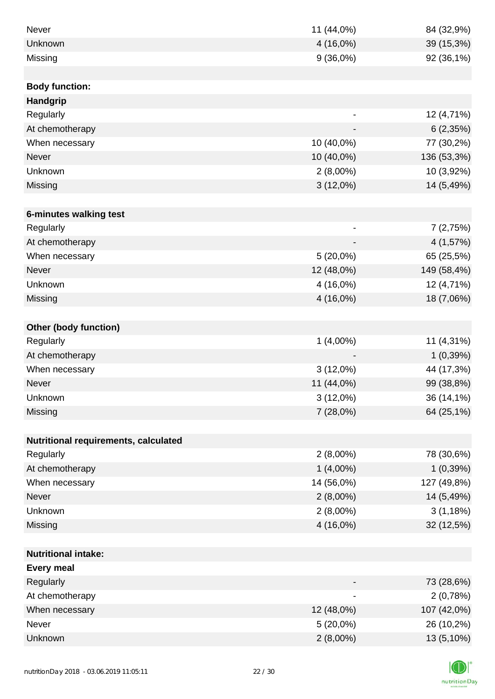| Never                                | 11 (44,0%)                   | 84 (32,9%)  |
|--------------------------------------|------------------------------|-------------|
| Unknown                              | 4 (16,0%)                    | 39 (15,3%)  |
| Missing                              | 9(36,0%)                     | 92 (36,1%)  |
|                                      |                              |             |
| <b>Body function:</b>                |                              |             |
| <b>Handgrip</b>                      |                              |             |
| Regularly                            | $\qquad \qquad \blacksquare$ | 12 (4,71%)  |
| At chemotherapy                      |                              | 6(2,35%)    |
| When necessary                       | 10 (40,0%)                   | 77 (30,2%)  |
| <b>Never</b>                         | 10 (40,0%)                   | 136 (53,3%) |
| Unknown                              | $2(8,00\%)$                  | 10 (3,92%)  |
| Missing                              | $3(12,0\%)$                  | 14 (5,49%)  |
|                                      |                              |             |
| 6-minutes walking test               |                              |             |
| Regularly                            | $\overline{\phantom{a}}$     | 7(2,75%)    |
| At chemotherapy                      |                              | 4 (1,57%)   |
| When necessary                       | $5(20,0\%)$                  | 65 (25,5%)  |
| <b>Never</b>                         | 12 (48,0%)                   | 149 (58,4%) |
| Unknown                              | 4 (16,0%)                    | 12 (4,71%)  |
| Missing                              | 4 (16,0%)                    | 18 (7,06%)  |
|                                      |                              |             |
| <b>Other (body function)</b>         |                              |             |
| Regularly                            | $1(4,00\%)$                  | 11 (4,31%)  |
| At chemotherapy                      |                              | 1(0,39%)    |
| When necessary                       | $3(12,0\%)$                  | 44 (17,3%)  |
| Never                                | 11 (44,0%)                   | 99 (38,8%)  |
| Unknown                              | $3(12,0\%)$                  | 36 (14,1%)  |
| Missing                              | 7(28,0%)                     | 64 (25,1%)  |
|                                      |                              |             |
| Nutritional requirements, calculated |                              |             |
| Regularly                            | $2(8,00\%)$                  | 78 (30,6%)  |
| At chemotherapy                      | $1(4,00\%)$                  | 1(0,39%)    |
| When necessary                       | 14 (56,0%)                   | 127 (49,8%) |
| Never                                | $2(8,00\%)$                  | 14 (5,49%)  |
| Unknown                              | $2(8,00\%)$                  | 3(1,18%)    |
| Missing                              | 4 (16,0%)                    | 32 (12,5%)  |
|                                      |                              |             |
| <b>Nutritional intake:</b>           |                              |             |
| <b>Every meal</b>                    |                              |             |
| Regularly                            |                              | 73 (28,6%)  |
| At chemotherapy                      | $\overline{\phantom{a}}$     | 2(0,78%)    |
| When necessary                       | 12 (48,0%)                   | 107 (42,0%) |
| Never                                | $5(20,0\%)$                  | 26 (10,2%)  |
| Unknown                              | $2(8,00\%)$                  | 13 (5,10%)  |
|                                      |                              |             |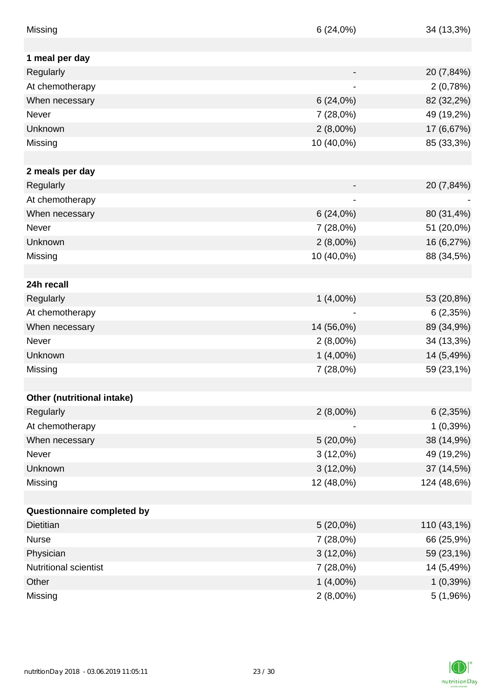| Missing                      | 6(24,0%)                     | 34 (13,3%)  |
|------------------------------|------------------------------|-------------|
|                              |                              |             |
| 1 meal per day               |                              |             |
| Regularly                    |                              | 20 (7,84%)  |
| At chemotherapy              |                              | 2(0,78%)    |
| When necessary               | 6(24,0%)                     | 82 (32,2%)  |
| Never                        | 7(28,0%)                     | 49 (19,2%)  |
| Unknown                      | $2(8,00\%)$                  | 17 (6,67%)  |
| Missing                      | 10 (40,0%)                   | 85 (33,3%)  |
|                              |                              |             |
| 2 meals per day              |                              |             |
| Regularly                    |                              | 20 (7,84%)  |
| At chemotherapy              | $\qquad \qquad \blacksquare$ |             |
| When necessary               | 6(24,0%)                     | 80 (31,4%)  |
| <b>Never</b>                 | 7 (28,0%)                    | 51 (20,0%)  |
| Unknown                      | $2(8,00\%)$                  | 16 (6,27%)  |
| Missing                      | 10 (40,0%)                   | 88 (34,5%)  |
|                              |                              |             |
| 24h recall                   |                              |             |
| Regularly                    | $1(4,00\%)$                  | 53 (20,8%)  |
| At chemotherapy              |                              | 6(2,35%)    |
| When necessary               | 14 (56,0%)                   | 89 (34,9%)  |
| Never                        | $2(8,00\%)$                  | 34 (13,3%)  |
| Unknown                      | $1(4,00\%)$                  | 14 (5,49%)  |
| Missing                      | 7 (28,0%)                    | 59 (23,1%)  |
|                              |                              |             |
| Other (nutritional intake)   |                              |             |
| Regularly                    | $2(8,00\%)$                  | 6(2,35%)    |
| At chemotherapy              |                              | 1(0,39%)    |
| When necessary               | $5(20,0\%)$                  | 38 (14,9%)  |
| Never                        | $3(12,0\%)$                  | 49 (19,2%)  |
| Unknown                      | $3(12,0\%)$                  | 37 (14,5%)  |
| Missing                      | 12 (48,0%)                   | 124 (48,6%) |
|                              |                              |             |
| Questionnaire completed by   |                              |             |
| Dietitian                    | $5(20,0\%)$                  | 110 (43,1%) |
| <b>Nurse</b>                 | 7 (28,0%)                    | 66 (25,9%)  |
| Physician                    | $3(12,0\%)$                  | 59 (23,1%)  |
| <b>Nutritional scientist</b> | 7 (28,0%)                    | 14 (5,49%)  |
| Other                        | $1(4,00\%)$                  | 1(0,39%)    |
| Missing                      | $2(8,00\%)$                  | 5(1,96%)    |

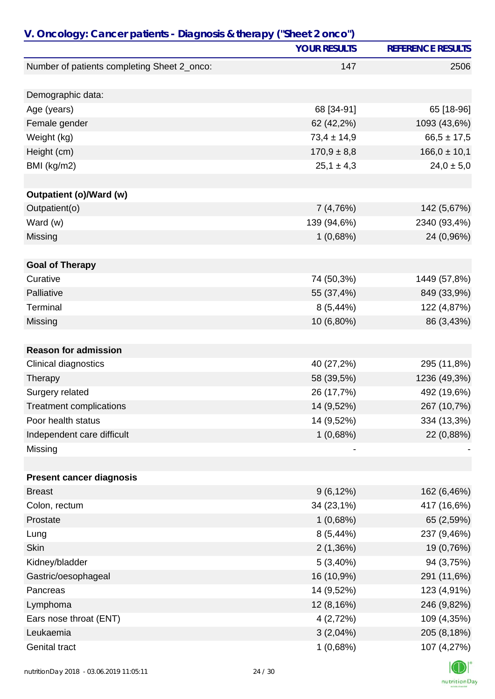|                                                      | <b>YOUR RESULTS</b> | <b>REFERENCE RESULTS</b> |
|------------------------------------------------------|---------------------|--------------------------|
| Number of patients completing Sheet 2_onco:          | 147                 | 2506                     |
|                                                      |                     |                          |
| Demographic data:                                    |                     |                          |
| Age (years)                                          | 68 [34-91]          | 65 [18-96]               |
| Female gender                                        | 62 (42,2%)          | 1093 (43,6%)             |
| Weight (kg)                                          | $73,4 \pm 14,9$     | $66,5 \pm 17,5$          |
| Height (cm)                                          | $170,9 \pm 8,8$     | $166,0 \pm 10,1$         |
| BMI (kg/m2)                                          | $25,1 \pm 4,3$      | $24,0 \pm 5,0$           |
| <b>Outpatient (o)/Ward (w)</b>                       |                     |                          |
| Outpatient(o)                                        | 7 (4,76%)           | 142 (5,67%)              |
| Ward (w)                                             | 139 (94,6%)         | 2340 (93,4%)             |
| Missing                                              | 1(0,68%)            | 24 (0,96%)               |
|                                                      |                     |                          |
| <b>Goal of Therapy</b>                               |                     |                          |
| Curative                                             | 74 (50,3%)          | 1449 (57,8%)             |
| Palliative                                           | 55 (37,4%)          | 849 (33,9%)              |
| Terminal                                             | $8(5,44\%)$         | 122 (4,87%)              |
| Missing                                              | 10 (6,80%)          | 86 (3,43%)               |
|                                                      |                     |                          |
| <b>Reason for admission</b>                          |                     |                          |
| Clinical diagnostics                                 | 40 (27,2%)          | 295 (11,8%)              |
| Therapy                                              | 58 (39,5%)          | 1236 (49,3%)             |
| Surgery related                                      | 26 (17,7%)          | 492 (19,6%)              |
| <b>Treatment complications</b><br>Poor health status | 14 (9,52%)          | 267 (10,7%)              |
|                                                      | 14 (9,52%)          | 334 (13,3%)              |
| Independent care difficult                           | 1(0,68%)            | 22 (0,88%)               |
| Missing                                              |                     |                          |
| <b>Present cancer diagnosis</b>                      |                     |                          |
| <b>Breast</b>                                        | $9(6, 12\%)$        | 162 (6,46%)              |
| Colon, rectum                                        | 34 (23,1%)          | 417 (16,6%)              |
| Prostate                                             | 1(0,68%)            | 65 (2,59%)               |
| Lung                                                 | $8(5,44\%)$         | 237 (9,46%)              |
| <b>Skin</b>                                          | 2(1,36%)            | 19 (0,76%)               |
| Kidney/bladder                                       | 5(3,40%)            | 94 (3,75%)               |
| Gastric/oesophageal                                  | 16 (10,9%)          | 291 (11,6%)              |
| Pancreas                                             | 14 (9,52%)          | 123 (4,91%)              |
| Lymphoma                                             | 12 (8,16%)          | 246 (9,82%)              |
| Ears nose throat (ENT)                               | 4 (2,72%)           | 109 (4,35%)              |
| Leukaemia                                            | $3(2,04\%)$         | 205 (8,18%)              |
| <b>Genital tract</b>                                 | 1(0,68%)            | 107 (4,27%)              |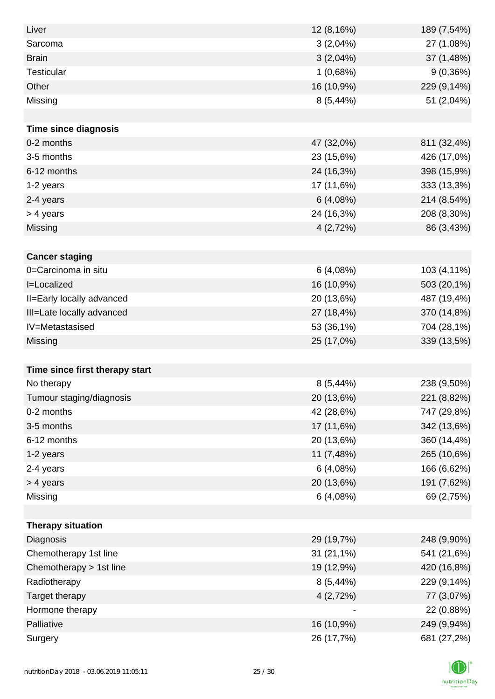| Liver                          | 12 (8,16%)  | 189 (7,54%) |
|--------------------------------|-------------|-------------|
| Sarcoma                        | 3(2,04%)    | 27 (1,08%)  |
| <b>Brain</b>                   | $3(2,04\%)$ | 37 (1,48%)  |
| <b>Testicular</b>              | 1(0,68%)    | 9(0,36%)    |
| Other                          | 16 (10,9%)  | 229 (9,14%) |
| Missing                        | 8 (5,44%)   | 51 (2,04%)  |
|                                |             |             |
| <b>Time since diagnosis</b>    |             |             |
| 0-2 months                     | 47 (32,0%)  | 811 (32,4%) |
| 3-5 months                     | 23 (15,6%)  | 426 (17,0%) |
| 6-12 months                    | 24 (16,3%)  | 398 (15,9%) |
| 1-2 years                      | 17 (11,6%)  | 333 (13,3%) |
| 2-4 years                      | 6(4,08%)    | 214 (8,54%) |
| > 4 years                      | 24 (16,3%)  | 208 (8,30%) |
| Missing                        | 4 (2,72%)   | 86 (3,43%)  |
|                                |             |             |
| <b>Cancer staging</b>          |             |             |
| 0=Carcinoma in situ            | 6(4,08%)    | 103 (4,11%) |
| I=Localized                    | 16 (10,9%)  | 503 (20,1%) |
| II=Early locally advanced      | 20 (13,6%)  | 487 (19,4%) |
| III=Late locally advanced      | 27 (18,4%)  | 370 (14,8%) |
| IV=Metastasised                | 53 (36,1%)  | 704 (28,1%) |
| Missing                        | 25 (17,0%)  | 339 (13,5%) |
|                                |             |             |
| Time since first therapy start |             |             |
| No therapy                     | $8(5,44\%)$ | 238 (9,50%) |
| Tumour staging/diagnosis       | 20 (13,6%)  | 221 (8,82%) |
| 0-2 months                     | 42 (28,6%)  | 747 (29,8%) |
| 3-5 months                     | 17 (11,6%)  | 342 (13,6%) |
| 6-12 months                    | 20 (13,6%)  | 360 (14,4%) |
| 1-2 years                      | 11 (7,48%)  | 265 (10,6%) |
| 2-4 years                      | 6(4,08%)    | 166 (6,62%) |
| > 4 years                      | 20 (13,6%)  | 191 (7,62%) |
| Missing                        | 6(4,08%)    | 69 (2,75%)  |
|                                |             |             |
| <b>Therapy situation</b>       |             |             |
| Diagnosis                      | 29 (19,7%)  | 248 (9,90%) |
| Chemotherapy 1st line          | 31 (21,1%)  | 541 (21,6%) |
| Chemotherapy > 1st line        | 19 (12,9%)  | 420 (16,8%) |
| Radiotherapy                   | 8(5,44%)    | 229 (9,14%) |
| Target therapy                 | 4(2,72%)    | 77 (3,07%)  |
| Hormone therapy                |             | 22 (0,88%)  |
| Palliative                     | 16 (10,9%)  | 249 (9,94%) |
| Surgery                        | 26 (17,7%)  | 681 (27,2%) |

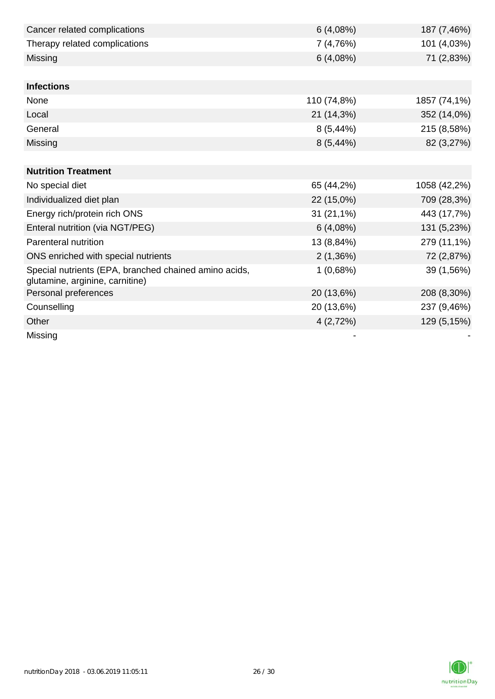| Cancer related complications                                                             | 6(4,08%)     | 187 (7,46%)  |
|------------------------------------------------------------------------------------------|--------------|--------------|
| Therapy related complications                                                            | 7 (4,76%)    | 101 (4,03%)  |
| Missing                                                                                  | 6(4,08%)     | 71 (2,83%)   |
|                                                                                          |              |              |
| <b>Infections</b>                                                                        |              |              |
| None                                                                                     | 110 (74,8%)  | 1857 (74,1%) |
| Local                                                                                    | 21 (14,3%)   | 352 (14,0%)  |
| General                                                                                  | 8(5,44%)     | 215 (8,58%)  |
| Missing                                                                                  | $8(5,44\%)$  | 82 (3,27%)   |
|                                                                                          |              |              |
| <b>Nutrition Treatment</b>                                                               |              |              |
| No special diet                                                                          | 65 (44,2%)   | 1058 (42,2%) |
| Individualized diet plan                                                                 | 22 (15,0%)   | 709 (28,3%)  |
| Energy rich/protein rich ONS                                                             | $31(21,1\%)$ | 443 (17,7%)  |
| Enteral nutrition (via NGT/PEG)                                                          | 6(4,08%)     | 131 (5,23%)  |
| Parenteral nutrition                                                                     | 13 (8,84%)   | 279 (11,1%)  |
| ONS enriched with special nutrients                                                      | 2(1,36%)     | 72 (2,87%)   |
| Special nutrients (EPA, branched chained amino acids,<br>glutamine, arginine, carnitine) | 1(0,68%)     | 39 (1,56%)   |
| Personal preferences                                                                     | 20 (13,6%)   | 208 (8,30%)  |
| Counselling                                                                              | 20 (13,6%)   | 237 (9,46%)  |
| Other                                                                                    | 4(2,72%)     | 129 (5,15%)  |
| Missing                                                                                  |              |              |

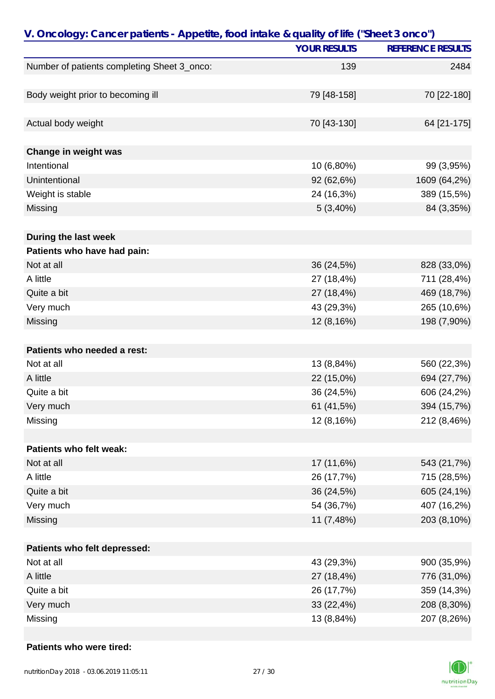|                                             | <b>YOUR RESULTS</b> | <b>REFERENCE RESULTS</b> |
|---------------------------------------------|---------------------|--------------------------|
| Number of patients completing Sheet 3_onco: | 139                 | 2484                     |
|                                             |                     |                          |
| Body weight prior to becoming ill           | 79 [48-158]         | 70 [22-180]              |
|                                             |                     |                          |
| Actual body weight                          | 70 [43-130]         | 64 [21-175]              |
|                                             |                     |                          |
| Change in weight was                        |                     |                          |
| Intentional                                 | 10 (6,80%)          | 99 (3,95%)               |
| Unintentional                               | 92 (62,6%)          | 1609 (64,2%)             |
| Weight is stable                            | 24 (16,3%)          | 389 (15,5%)              |
| Missing                                     | $5(3,40\%)$         | 84 (3,35%)               |
|                                             |                     |                          |
| During the last week                        |                     |                          |
| Patients who have had pain:                 |                     |                          |
| Not at all                                  | 36 (24,5%)          | 828 (33,0%)              |
| A little                                    | 27 (18,4%)          | 711 (28,4%)              |
| Quite a bit                                 | 27 (18,4%)          | 469 (18,7%)              |
| Very much                                   | 43 (29,3%)          | 265 (10,6%)              |
| Missing                                     | 12 (8,16%)          | 198 (7,90%)              |
|                                             |                     |                          |
| Patients who needed a rest:                 |                     |                          |
| Not at all                                  | 13 (8,84%)          | 560 (22,3%)              |
| A little                                    | 22 (15,0%)          | 694 (27,7%)              |
| Quite a bit                                 | 36 (24,5%)          | 606 (24,2%)              |
| Very much                                   | 61 (41,5%)          | 394 (15,7%)              |
| Missing                                     | 12 (8,16%)          | 212 (8,46%)              |
| Patients who felt weak:                     |                     |                          |
| Not at all                                  | 17 (11,6%)          | 543 (21,7%)              |
| A little                                    | 26 (17,7%)          | 715 (28,5%)              |
|                                             |                     |                          |
| Quite a bit                                 | 36 (24,5%)          | 605 (24,1%)              |
| Very much                                   | 54 (36,7%)          | 407 (16,2%)              |
| Missing                                     | 11 (7,48%)          | 203 (8,10%)              |
| Patients who felt depressed:                |                     |                          |
| Not at all                                  | 43 (29,3%)          | 900 (35,9%)              |
| A little                                    | 27 (18,4%)          | 776 (31,0%)              |
| Quite a bit                                 | 26 (17,7%)          | 359 (14,3%)              |
| Very much                                   | 33 (22,4%)          | 208 (8,30%)              |
| Missing                                     | 13 (8,84%)          | 207 (8,26%)              |
|                                             |                     |                          |

#### **Patients who were tired:**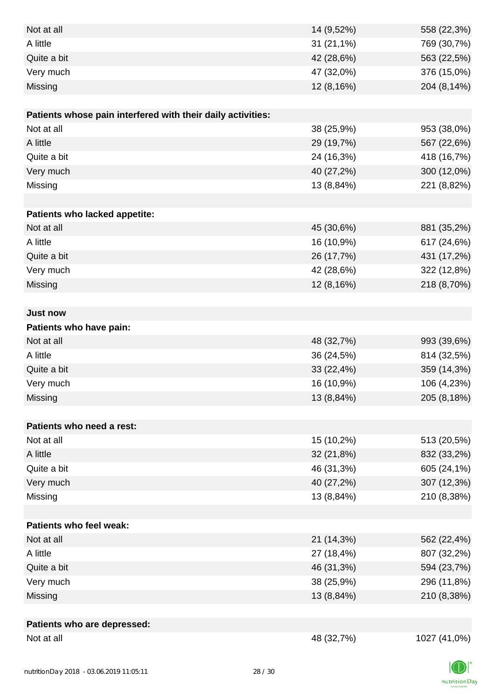| Not at all                                                  | 14 (9,52%) | 558 (22,3%)  |
|-------------------------------------------------------------|------------|--------------|
| A little                                                    | 31 (21,1%) | 769 (30,7%)  |
| Quite a bit                                                 | 42 (28,6%) | 563 (22,5%)  |
| Very much                                                   | 47 (32,0%) | 376 (15,0%)  |
| Missing                                                     | 12 (8,16%) | 204 (8,14%)  |
|                                                             |            |              |
| Patients whose pain interfered with their daily activities: |            |              |
| Not at all                                                  | 38 (25,9%) | 953 (38,0%)  |
| A little                                                    | 29 (19,7%) | 567 (22,6%)  |
| Quite a bit                                                 | 24 (16,3%) | 418 (16,7%)  |
| Very much                                                   | 40 (27,2%) | 300 (12,0%)  |
| Missing                                                     | 13 (8,84%) | 221 (8,82%)  |
|                                                             |            |              |
| Patients who lacked appetite:                               |            |              |
| Not at all                                                  | 45 (30,6%) | 881 (35,2%)  |
| A little                                                    | 16 (10,9%) | 617 (24,6%)  |
| Quite a bit                                                 | 26 (17,7%) | 431 (17,2%)  |
| Very much                                                   | 42 (28,6%) | 322 (12,8%)  |
| Missing                                                     | 12 (8,16%) | 218 (8,70%)  |
|                                                             |            |              |
| <b>Just now</b>                                             |            |              |
| Patients who have pain:                                     |            |              |
| Not at all                                                  | 48 (32,7%) | 993 (39,6%)  |
| A little                                                    | 36 (24,5%) | 814 (32,5%)  |
| Quite a bit                                                 | 33 (22,4%) | 359 (14,3%)  |
| Very much                                                   | 16 (10,9%) | 106 (4,23%)  |
| Missing                                                     | 13 (8,84%) | 205 (8,18%)  |
|                                                             |            |              |
| Patients who need a rest:                                   |            |              |
| Not at all                                                  | 15 (10,2%) | 513 (20,5%)  |
| A little                                                    | 32 (21,8%) | 832 (33,2%)  |
| Quite a bit                                                 | 46 (31,3%) | 605 (24,1%)  |
| Very much                                                   | 40 (27,2%) | 307 (12,3%)  |
| Missing                                                     | 13 (8,84%) | 210 (8,38%)  |
|                                                             |            |              |
| Patients who feel weak:                                     |            |              |
| Not at all                                                  | 21 (14,3%) | 562 (22,4%)  |
| A little                                                    | 27 (18,4%) | 807 (32,2%)  |
| Quite a bit                                                 | 46 (31,3%) | 594 (23,7%)  |
| Very much                                                   | 38 (25,9%) | 296 (11,8%)  |
| Missing                                                     | 13 (8,84%) | 210 (8,38%)  |
|                                                             |            |              |
| Patients who are depressed:                                 |            |              |
| Not at all                                                  | 48 (32,7%) | 1027 (41,0%) |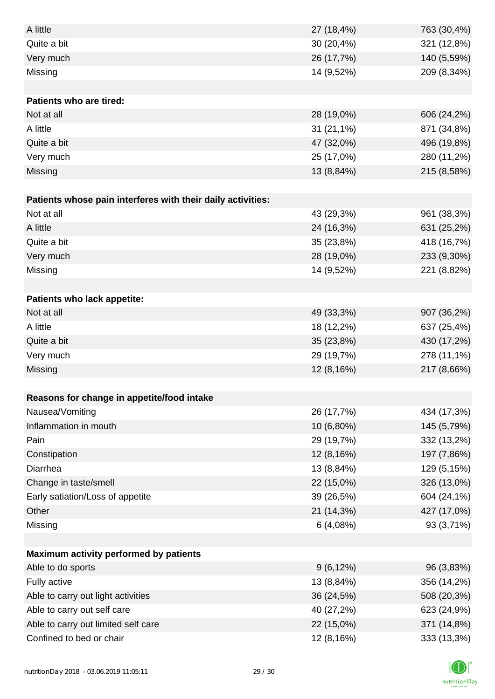| A little                                                    | 27 (18,4%)   | 763 (30,4%) |
|-------------------------------------------------------------|--------------|-------------|
| Quite a bit                                                 | 30 (20,4%)   | 321 (12,8%) |
| Very much                                                   | 26 (17,7%)   | 140 (5,59%) |
| Missing                                                     | 14 (9,52%)   | 209 (8,34%) |
|                                                             |              |             |
| <b>Patients who are tired:</b>                              |              |             |
| Not at all                                                  | 28 (19,0%)   | 606 (24,2%) |
| A little                                                    | $31(21,1\%)$ | 871 (34,8%) |
| Quite a bit                                                 | 47 (32,0%)   | 496 (19,8%) |
| Very much                                                   | 25 (17,0%)   | 280 (11,2%) |
| Missing                                                     | 13 (8,84%)   | 215 (8,58%) |
|                                                             |              |             |
| Patients whose pain interferes with their daily activities: |              |             |
| Not at all                                                  | 43 (29,3%)   | 961 (38,3%) |
| A little                                                    | 24 (16,3%)   | 631 (25,2%) |
| Quite a bit                                                 | 35 (23,8%)   | 418 (16,7%) |
| Very much                                                   | 28 (19,0%)   | 233 (9,30%) |
| Missing                                                     | 14 (9,52%)   | 221 (8,82%) |
|                                                             |              |             |
| Patients who lack appetite:                                 |              |             |
| Not at all                                                  | 49 (33,3%)   | 907 (36,2%) |
| A little                                                    | 18 (12,2%)   | 637 (25,4%) |
| Quite a bit                                                 | 35 (23,8%)   | 430 (17,2%) |
| Very much                                                   | 29 (19,7%)   | 278 (11,1%) |
| Missing                                                     | 12 (8,16%)   | 217 (8,66%) |
|                                                             |              |             |
| Reasons for change in appetite/food intake                  |              |             |
| Nausea/Vomiting                                             | 26 (17,7%)   | 434 (17,3%) |
| Inflammation in mouth                                       | 10 (6,80%)   | 145 (5,79%) |
| Pain                                                        | 29 (19,7%)   | 332 (13,2%) |
| Constipation                                                | 12 (8,16%)   | 197 (7,86%) |
| Diarrhea                                                    | 13 (8,84%)   | 129 (5,15%) |
| Change in taste/smell                                       | 22 (15,0%)   | 326 (13,0%) |
| Early satiation/Loss of appetite                            | 39 (26,5%)   | 604 (24,1%) |
| Other                                                       | 21 (14,3%)   | 427 (17,0%) |
| Missing                                                     | 6(4,08%)     | 93 (3,71%)  |
|                                                             |              |             |
| Maximum activity performed by patients                      |              |             |
| Able to do sports                                           | $9(6, 12\%)$ | 96 (3,83%)  |
| Fully active                                                | 13 (8,84%)   | 356 (14,2%) |
| Able to carry out light activities                          | 36 (24,5%)   | 508 (20,3%) |
| Able to carry out self care                                 | 40 (27,2%)   | 623 (24,9%) |
| Able to carry out limited self care                         | 22 (15,0%)   | 371 (14,8%) |
| Confined to bed or chair                                    | 12 (8,16%)   | 333 (13,3%) |